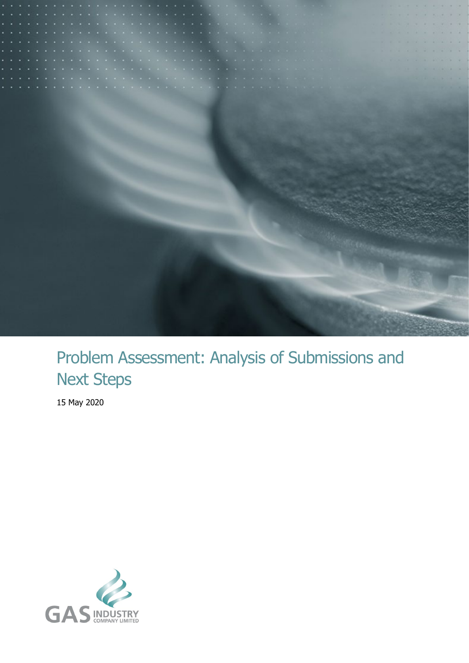

# Problem Assessment: Analysis of Submissions and Next Steps

15 May 2020

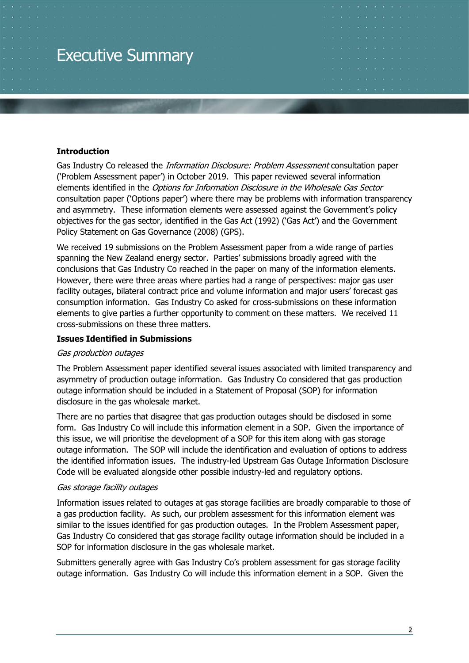# Executive Summary

#### **Introduction**

Gas Industry Co released the *Information Disclosure: Problem Assessment* consultation paper ('Problem Assessment paper') in October 2019. This paper reviewed several information elements identified in the Options for Information Disclosure in the Wholesale Gas Sector consultation paper ('Options paper') where there may be problems with information transparency and asymmetry. These information elements were assessed against the Government's policy objectives for the gas sector, identified in the Gas Act (1992) ('Gas Act') and the Government Policy Statement on Gas Governance (2008) (GPS).

We received 19 submissions on the Problem Assessment paper from a wide range of parties spanning the New Zealand energy sector. Parties' submissions broadly agreed with the conclusions that Gas Industry Co reached in the paper on many of the information elements. However, there were three areas where parties had a range of perspectives: major gas user facility outages, bilateral contract price and volume information and major users' forecast gas consumption information. Gas Industry Co asked for cross-submissions on these information elements to give parties a further opportunity to comment on these matters. We received 11 cross-submissions on these three matters.

#### **Issues Identified in Submissions**

#### Gas production outages

The Problem Assessment paper identified several issues associated with limited transparency and asymmetry of production outage information. Gas Industry Co considered that gas production outage information should be included in a Statement of Proposal (SOP) for information disclosure in the gas wholesale market.

There are no parties that disagree that gas production outages should be disclosed in some form. Gas Industry Co will include this information element in a SOP. Given the importance of this issue, we will prioritise the development of a SOP for this item along with gas storage outage information. The SOP will include the identification and evaluation of options to address the identified information issues. The industry-led Upstream Gas Outage Information Disclosure Code will be evaluated alongside other possible industry-led and regulatory options.

#### Gas storage facility outages

Information issues related to outages at gas storage facilities are broadly comparable to those of a gas production facility. As such, our problem assessment for this information element was similar to the issues identified for gas production outages. In the Problem Assessment paper, Gas Industry Co considered that gas storage facility outage information should be included in a SOP for information disclosure in the gas wholesale market.

Submitters generally agree with Gas Industry Co's problem assessment for gas storage facility outage information. Gas Industry Co will include this information element in a SOP. Given the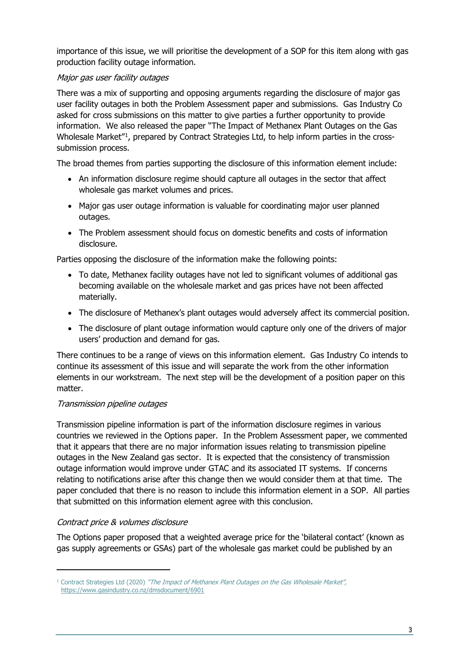importance of this issue, we will prioritise the development of a SOP for this item along with gas production facility outage information.

## Major gas user facility outages

There was a mix of supporting and opposing arguments regarding the disclosure of major gas user facility outages in both the Problem Assessment paper and submissions. Gas Industry Co asked for cross submissions on this matter to give parties a further opportunity to provide information. We also released the paper "The Impact of Methanex Plant Outages on the Gas Wholesale Market"[1,](#page-2-0) prepared by Contract Strategies Ltd, to help inform parties in the crosssubmission process.

The broad themes from parties supporting the disclosure of this information element include:

- An information disclosure regime should capture all outages in the sector that affect wholesale gas market volumes and prices.
- Major gas user outage information is valuable for coordinating major user planned outages.
- The Problem assessment should focus on domestic benefits and costs of information disclosure.

Parties opposing the disclosure of the information make the following points:

- To date, Methanex facility outages have not led to significant volumes of additional gas becoming available on the wholesale market and gas prices have not been affected materially.
- The disclosure of Methanex's plant outages would adversely affect its commercial position.
- The disclosure of plant outage information would capture only one of the drivers of major users' production and demand for gas.

There continues to be a range of views on this information element. Gas Industry Co intends to continue its assessment of this issue and will separate the work from the other information elements in our workstream. The next step will be the development of a position paper on this matter.

#### Transmission pipeline outages

Transmission pipeline information is part of the information disclosure regimes in various countries we reviewed in the Options paper. In the Problem Assessment paper, we commented that it appears that there are no major information issues relating to transmission pipeline outages in the New Zealand gas sector. It is expected that the consistency of transmission outage information would improve under GTAC and its associated IT systems. If concerns relating to notifications arise after this change then we would consider them at that time. The paper concluded that there is no reason to include this information element in a SOP. All parties that submitted on this information element agree with this conclusion.

#### Contract price & volumes disclosure

The Options paper proposed that a weighted average price for the 'bilateral contact' (known as gas supply agreements or GSAs) part of the wholesale gas market could be published by an

<span id="page-2-0"></span><sup>&</sup>lt;sup>1</sup> Contract Strategies Ltd (2020) "The Impact of Methanex Plant Outages on the Gas Wholesale Market", <https://www.gasindustry.co.nz/dmsdocument/6901>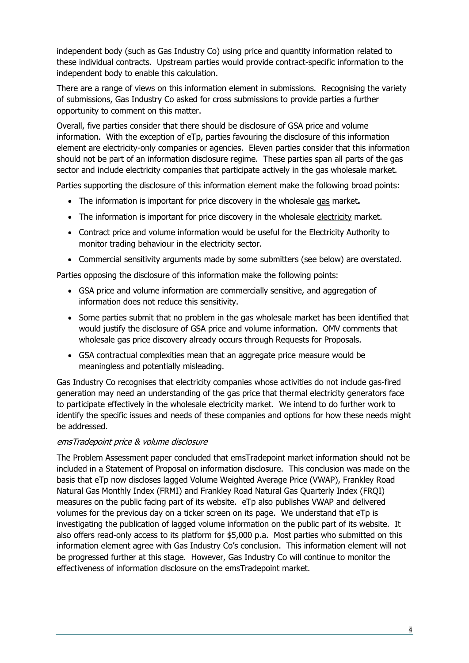independent body (such as Gas Industry Co) using price and quantity information related to these individual contracts. Upstream parties would provide contract-specific information to the independent body to enable this calculation.

There are a range of views on this information element in submissions. Recognising the variety of submissions, Gas Industry Co asked for cross submissions to provide parties a further opportunity to comment on this matter.

Overall, five parties consider that there should be disclosure of GSA price and volume information. With the exception of eTp, parties favouring the disclosure of this information element are electricity-only companies or agencies. Eleven parties consider that this information should not be part of an information disclosure regime. These parties span all parts of the gas sector and include electricity companies that participate actively in the gas wholesale market.

Parties supporting the disclosure of this information element make the following broad points:

- The information is important for price discovery in the wholesale gas market**.**
- The information is important for price discovery in the wholesale electricity market.
- Contract price and volume information would be useful for the Electricity Authority to monitor trading behaviour in the electricity sector.
- Commercial sensitivity arguments made by some submitters (see below) are overstated.

Parties opposing the disclosure of this information make the following points:

- GSA price and volume information are commercially sensitive, and aggregation of information does not reduce this sensitivity.
- Some parties submit that no problem in the gas wholesale market has been identified that would justify the disclosure of GSA price and volume information. OMV comments that wholesale gas price discovery already occurs through Requests for Proposals.
- GSA contractual complexities mean that an aggregate price measure would be meaningless and potentially misleading.

Gas Industry Co recognises that electricity companies whose activities do not include gas-fired generation may need an understanding of the gas price that thermal electricity generators face to participate effectively in the wholesale electricity market. We intend to do further work to identify the specific issues and needs of these companies and options for how these needs might be addressed.

#### emsTradepoint price & volume disclosure

The Problem Assessment paper concluded that emsTradepoint market information should not be included in a Statement of Proposal on information disclosure. This conclusion was made on the basis that eTp now discloses lagged Volume Weighted Average Price (VWAP), Frankley Road Natural Gas Monthly Index (FRMI) and Frankley Road Natural Gas Quarterly Index (FRQI) measures on the public facing part of its website. eTp also publishes VWAP and delivered volumes for the previous day on a ticker screen on its page. We understand that eTp is investigating the publication of lagged volume information on the public part of its website. It also offers read-only access to its platform for \$5,000 p.a. Most parties who submitted on this information element agree with Gas Industry Co's conclusion. This information element will not be progressed further at this stage. However, Gas Industry Co will continue to monitor the effectiveness of information disclosure on the emsTradepoint market.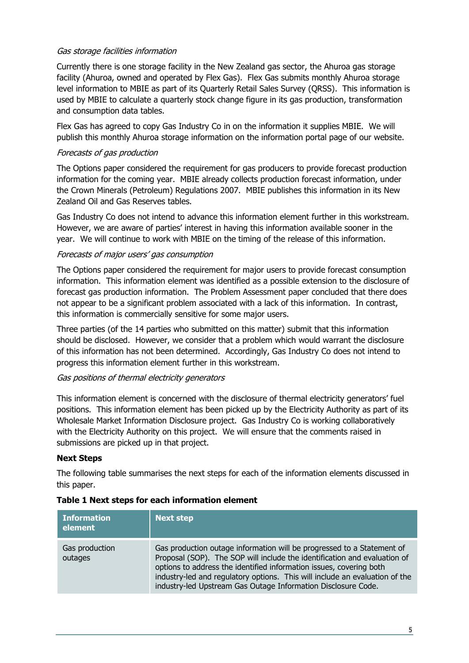#### Gas storage facilities information

Currently there is one storage facility in the New Zealand gas sector, the Ahuroa gas storage facility (Ahuroa, owned and operated by Flex Gas). Flex Gas submits monthly Ahuroa storage level information to MBIE as part of its Quarterly Retail Sales Survey (QRSS). This information is used by MBIE to calculate a quarterly stock change figure in its gas production, transformation and consumption data tables.

Flex Gas has agreed to copy Gas Industry Co in on the information it supplies MBIE. We will publish this monthly Ahuroa storage information on the information portal page of our website.

#### Forecasts of gas production

The Options paper considered the requirement for gas producers to provide forecast production information for the coming year. MBIE already collects production forecast information, under the Crown Minerals (Petroleum) Regulations 2007. MBIE publishes this information in its New Zealand Oil and Gas Reserves tables.

Gas Industry Co does not intend to advance this information element further in this workstream. However, we are aware of parties' interest in having this information available sooner in the year. We will continue to work with MBIE on the timing of the release of this information.

#### Forecasts of major users' gas consumption

The Options paper considered the requirement for major users to provide forecast consumption information. This information element was identified as a possible extension to the disclosure of forecast gas production information. The Problem Assessment paper concluded that there does not appear to be a significant problem associated with a lack of this information. In contrast, this information is commercially sensitive for some major users.

Three parties (of the 14 parties who submitted on this matter) submit that this information should be disclosed. However, we consider that a problem which would warrant the disclosure of this information has not been determined. Accordingly, Gas Industry Co does not intend to progress this information element further in this workstream.

#### Gas positions of thermal electricity generators

This information element is concerned with the disclosure of thermal electricity generators' fuel positions. This information element has been picked up by the Electricity Authority as part of its Wholesale Market Information Disclosure project. Gas Industry Co is working collaboratively with the Electricity Authority on this project. We will ensure that the comments raised in submissions are picked up in that project.

#### **Next Steps**

The following table summarises the next steps for each of the information elements discussed in this paper.

| <b>Information</b><br>element | <b>Next step</b>                                                                                                                                                                                                                                                                                                                                                           |
|-------------------------------|----------------------------------------------------------------------------------------------------------------------------------------------------------------------------------------------------------------------------------------------------------------------------------------------------------------------------------------------------------------------------|
| Gas production<br>outages     | Gas production outage information will be progressed to a Statement of<br>Proposal (SOP). The SOP will include the identification and evaluation of<br>options to address the identified information issues, covering both<br>industry-led and regulatory options. This will include an evaluation of the<br>industry-led Upstream Gas Outage Information Disclosure Code. |

#### **Table 1 Next steps for each information element**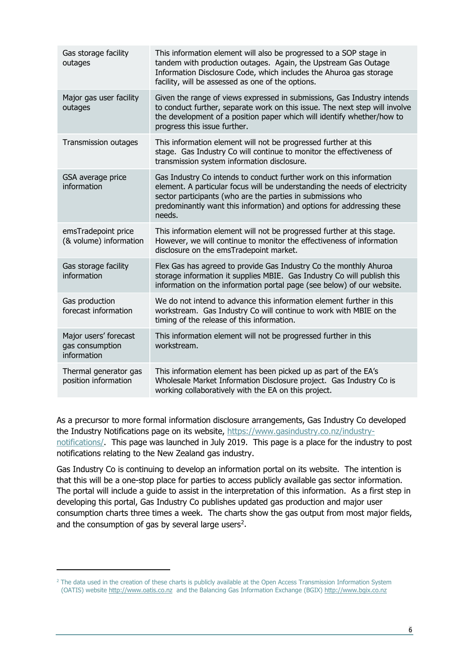| Gas storage facility<br>outages                         | This information element will also be progressed to a SOP stage in<br>tandem with production outages. Again, the Upstream Gas Outage<br>Information Disclosure Code, which includes the Ahuroa gas storage<br>facility, will be assessed as one of the options.                                     |
|---------------------------------------------------------|-----------------------------------------------------------------------------------------------------------------------------------------------------------------------------------------------------------------------------------------------------------------------------------------------------|
| Major gas user facility<br>outages                      | Given the range of views expressed in submissions, Gas Industry intends<br>to conduct further, separate work on this issue. The next step will involve<br>the development of a position paper which will identify whether/how to<br>progress this issue further.                                    |
| Transmission outages                                    | This information element will not be progressed further at this<br>stage. Gas Industry Co will continue to monitor the effectiveness of<br>transmission system information disclosure.                                                                                                              |
| GSA average price<br>information                        | Gas Industry Co intends to conduct further work on this information<br>element. A particular focus will be understanding the needs of electricity<br>sector participants (who are the parties in submissions who<br>predominantly want this information) and options for addressing these<br>needs. |
| emsTradepoint price<br>(& volume) information           | This information element will not be progressed further at this stage.<br>However, we will continue to monitor the effectiveness of information<br>disclosure on the emsTradepoint market.                                                                                                          |
| Gas storage facility<br>information                     | Flex Gas has agreed to provide Gas Industry Co the monthly Ahuroa<br>storage information it supplies MBIE. Gas Industry Co will publish this<br>information on the information portal page (see below) of our website.                                                                              |
| Gas production<br>forecast information                  | We do not intend to advance this information element further in this<br>workstream. Gas Industry Co will continue to work with MBIE on the<br>timing of the release of this information.                                                                                                            |
| Major users' forecast<br>gas consumption<br>information | This information element will not be progressed further in this<br>workstream.                                                                                                                                                                                                                      |
| Thermal generator gas<br>position information           | This information element has been picked up as part of the EA's<br>Wholesale Market Information Disclosure project. Gas Industry Co is<br>working collaboratively with the EA on this project.                                                                                                      |

As a precursor to more formal information disclosure arrangements, Gas Industry Co developed the Industry Notifications page on its website, [https://www.gasindustry.co.nz/industry](https://www.gasindustry.co.nz/industry-notifications/)[notifications/.](https://www.gasindustry.co.nz/industry-notifications/) This page was launched in July 2019. This page is a place for the industry to post notifications relating to the New Zealand gas industry.

Gas Industry Co is continuing to develop an information portal on its website. The intention is that this will be a one-stop place for parties to access publicly available gas sector information. The portal will include a guide to assist in the interpretation of this information. As a first step in developing this portal, Gas Industry Co publishes updated gas production and major user consumption charts three times a week. The charts show the gas output from most major fields, and the consumption of gas by several large users<sup>2</sup>.

<span id="page-5-0"></span><sup>&</sup>lt;sup>2</sup> The data used in the creation of these charts is publicly available at the Open Access Transmission Information System (OATIS) website [http://www.oatis.co.nz](http://www.oatis.co.nz/) and the Balancing Gas Information Exchange (BGIX) [http://www.bgix.co.nz](http://www.bgix.co.nz/)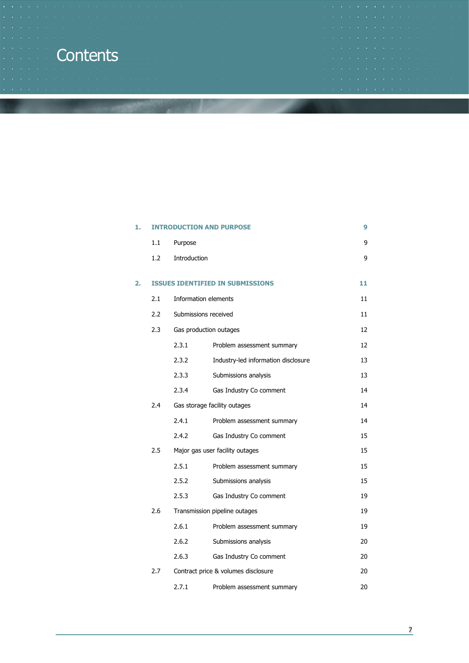# **Contents**

|  |  |  |  |  |  |                                                             | STATE OF CALL OF THE 24 YOFF OF STATE OF THE CALL OF STATE ORDER OF STATE OF |  |
|--|--|--|--|--|--|-------------------------------------------------------------|------------------------------------------------------------------------------|--|
|  |  |  |  |  |  | <b>THE R. P. LEWIS CO., LANSING, MICH. 49-14039-1-120-2</b> |                                                                              |  |
|  |  |  |  |  |  |                                                             | THE R. P. LEWIS CO., LANSING, MICH. 49-14039-1-120-2                         |  |
|  |  |  |  |  |  |                                                             |                                                                              |  |
|  |  |  |  |  |  |                                                             | THE R. P. LEWIS CO., LANSING, MICH. 49-14039-1-120-2                         |  |
|  |  |  |  |  |  |                                                             | 1980 BALLAND BALLAND BALLAND BALLAND BALLAND BALLAND BALLAND                 |  |
|  |  |  |  |  |  |                                                             |                                                                              |  |
|  |  |  |  |  |  | THE R. P. LEWIS CO., LANSING, MICH. 49-14039-1-120-2        |                                                                              |  |
|  |  |  |  |  |  |                                                             |                                                                              |  |

| 1. |     |              | <b>INTRODUCTION AND PURPOSE</b>         | 9  |
|----|-----|--------------|-----------------------------------------|----|
|    | 1.1 | Purpose      |                                         | 9  |
|    | 1.2 | Introduction |                                         | 9  |
| 2. |     |              | <b>ISSUES IDENTIFIED IN SUBMISSIONS</b> | 11 |
|    | 2.1 |              | Information elements                    | 11 |
|    | 2.2 |              | Submissions received                    | 11 |
|    | 2.3 |              | Gas production outages                  | 12 |
|    |     | 2.3.1        | Problem assessment summary              | 12 |
|    |     | 2.3.2        | Industry-led information disclosure     | 13 |
|    |     | 2.3.3        | Submissions analysis                    | 13 |
|    |     | 2.3.4        | Gas Industry Co comment                 | 14 |
|    | 2.4 |              | Gas storage facility outages            | 14 |
|    |     | 2.4.1        | Problem assessment summary              | 14 |
|    |     | 2.4.2        | Gas Industry Co comment                 | 15 |
|    | 2.5 |              | Major gas user facility outages         | 15 |
|    |     | 2.5.1        | Problem assessment summary              | 15 |
|    |     | 2.5.2        | Submissions analysis                    | 15 |
|    |     | 2.5.3        | Gas Industry Co comment                 | 19 |
|    | 2.6 |              | Transmission pipeline outages           | 19 |
|    |     | 2.6.1        | Problem assessment summary              | 19 |
|    |     | 2.6.2        | Submissions analysis                    | 20 |
|    |     | 2.6.3        | Gas Industry Co comment                 | 20 |
|    | 2.7 |              | Contract price & volumes disclosure     | 20 |
|    |     | 2.7.1        | Problem assessment summary              | 20 |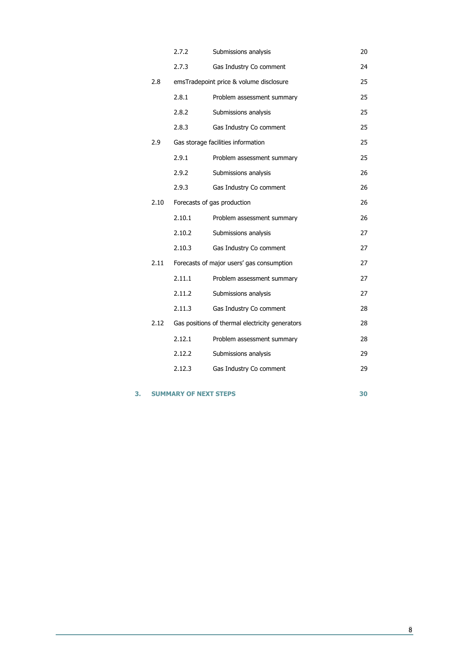|      | 2.7.2  | Submissions analysis                            | 20 |
|------|--------|-------------------------------------------------|----|
|      | 2.7.3  | Gas Industry Co comment                         | 24 |
| 2.8  |        | emsTradepoint price & volume disclosure         | 25 |
|      | 2.8.1  | Problem assessment summary                      | 25 |
|      | 2.8.2  | Submissions analysis                            | 25 |
|      | 2.8.3  | Gas Industry Co comment                         | 25 |
| 2.9  |        | Gas storage facilities information              | 25 |
|      | 2.9.1  | Problem assessment summary                      | 25 |
|      | 2.9.2  | Submissions analysis                            | 26 |
|      | 2.9.3  | Gas Industry Co comment                         | 26 |
| 2.10 |        | Forecasts of gas production                     | 26 |
|      | 2.10.1 | Problem assessment summary                      | 26 |
|      | 2.10.2 | Submissions analysis                            | 27 |
|      | 2.10.3 | Gas Industry Co comment                         | 27 |
| 2.11 |        | Forecasts of major users' gas consumption       | 27 |
|      | 2.11.1 | Problem assessment summary                      | 27 |
|      | 2.11.2 | Submissions analysis                            | 27 |
|      | 2.11.3 | Gas Industry Co comment                         | 28 |
| 2.12 |        | Gas positions of thermal electricity generators | 28 |
|      | 2.12.1 | Problem assessment summary                      | 28 |
|      | 2.12.2 | Submissions analysis                            | 29 |
|      | 2.12.3 | Gas Industry Co comment                         | 29 |
|      |        |                                                 |    |

#### **3. [SUMMARY OF NEXT STEPS](#page-29-0) 30**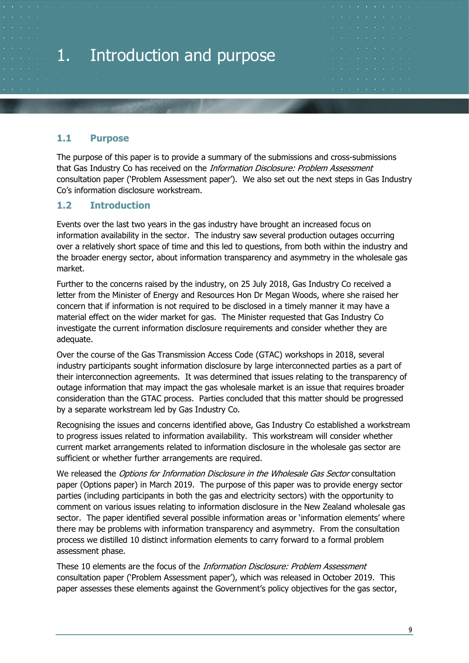# <span id="page-8-0"></span>1. Introduction and purpose

# <span id="page-8-1"></span>**1.1 Purpose**

The purpose of this paper is to provide a summary of the submissions and cross-submissions that Gas Industry Co has received on the *Information Disclosure: Problem Assessment* consultation paper ('Problem Assessment paper'). We also set out the next steps in Gas Industry Co's information disclosure workstream.

# <span id="page-8-2"></span>**1.2 Introduction**

Events over the last two years in the gas industry have brought an increased focus on information availability in the sector. The industry saw several production outages occurring over a relatively short space of time and this led to questions, from both within the industry and the broader energy sector, about information transparency and asymmetry in the wholesale gas market.

Further to the concerns raised by the industry, on 25 July 2018, Gas Industry Co received a letter from the Minister of Energy and Resources Hon Dr Megan Woods, where she raised her concern that if information is not required to be disclosed in a timely manner it may have a material effect on the wider market for gas. The Minister requested that Gas Industry Co investigate the current information disclosure requirements and consider whether they are adequate.

Over the course of the Gas Transmission Access Code (GTAC) workshops in 2018, several industry participants sought information disclosure by large interconnected parties as a part of their interconnection agreements. It was determined that issues relating to the transparency of outage information that may impact the gas wholesale market is an issue that requires broader consideration than the GTAC process. Parties concluded that this matter should be progressed by a separate workstream led by Gas Industry Co.

Recognising the issues and concerns identified above, Gas Industry Co established a workstream to progress issues related to information availability. This workstream will consider whether current market arrangements related to information disclosure in the wholesale gas sector are sufficient or whether further arrangements are required.

We released the Options for Information Disclosure in the Wholesale Gas Sector consultation paper (Options paper) in March 2019. The purpose of this paper was to provide energy sector parties (including participants in both the gas and electricity sectors) with the opportunity to comment on various issues relating to information disclosure in the New Zealand wholesale gas sector. The paper identified several possible information areas or 'information elements' where there may be problems with information transparency and asymmetry. From the consultation process we distilled 10 distinct information elements to carry forward to a formal problem assessment phase.

These 10 elements are the focus of the Information Disclosure: Problem Assessment consultation paper ('Problem Assessment paper'), which was released in October 2019. This paper assesses these elements against the Government's policy objectives for the gas sector,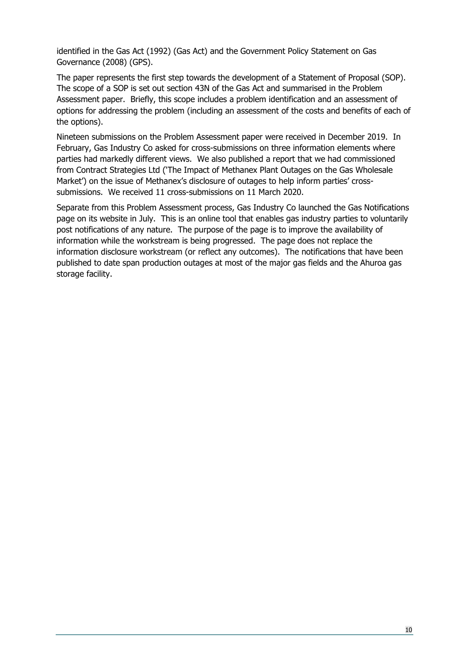identified in the Gas Act (1992) (Gas Act) and the Government Policy Statement on Gas Governance (2008) (GPS).

The paper represents the first step towards the development of a Statement of Proposal (SOP). The scope of a SOP is set out section 43N of the Gas Act and summarised in the Problem Assessment paper. Briefly, this scope includes a problem identification and an assessment of options for addressing the problem (including an assessment of the costs and benefits of each of the options).

Nineteen submissions on the Problem Assessment paper were received in December 2019. In February, Gas Industry Co asked for cross-submissions on three information elements where parties had markedly different views. We also published a report that we had commissioned from Contract Strategies Ltd ('The Impact of Methanex Plant Outages on the Gas Wholesale Market') on the issue of Methanex's disclosure of outages to help inform parties' crosssubmissions. We received 11 cross-submissions on 11 March 2020.

Separate from this Problem Assessment process, Gas Industry Co launched the Gas Notifications page on its website in July. This is an online tool that enables gas industry parties to voluntarily post notifications of any nature. The purpose of the page is to improve the availability of information while the workstream is being progressed. The page does not replace the information disclosure workstream (or reflect any outcomes). The notifications that have been published to date span production outages at most of the major gas fields and the Ahuroa gas storage facility.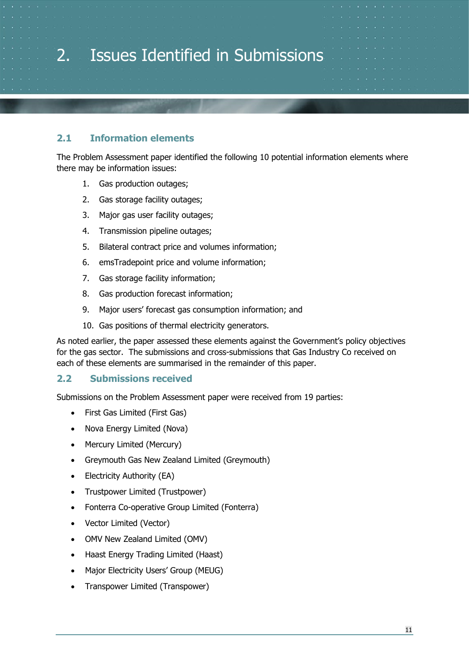<span id="page-10-0"></span>

# <span id="page-10-1"></span>**2.1 Information elements**

The Problem Assessment paper identified the following 10 potential information elements where there may be information issues:

- 1. Gas production outages;
- 2. Gas storage facility outages;
- 3. Major gas user facility outages;
- 4. Transmission pipeline outages;
- 5. Bilateral contract price and volumes information;
- 6. emsTradepoint price and volume information;
- 7. Gas storage facility information;
- 8. Gas production forecast information;
- 9. Major users' forecast gas consumption information; and
- 10. Gas positions of thermal electricity generators.

As noted earlier, the paper assessed these elements against the Government's policy objectives for the gas sector. The submissions and cross-submissions that Gas Industry Co received on each of these elements are summarised in the remainder of this paper.

#### <span id="page-10-2"></span>**2.2 Submissions received**

Submissions on the Problem Assessment paper were received from 19 parties:

- First Gas Limited (First Gas)
- Nova Energy Limited (Nova)
- Mercury Limited (Mercury)
- Greymouth Gas New Zealand Limited (Greymouth)
- Electricity Authority (EA)
- Trustpower Limited (Trustpower)
- Fonterra Co-operative Group Limited (Fonterra)
- Vector Limited (Vector)
- OMV New Zealand Limited (OMV)
- Haast Energy Trading Limited (Haast)
- Major Electricity Users' Group (MEUG)
- Transpower Limited (Transpower)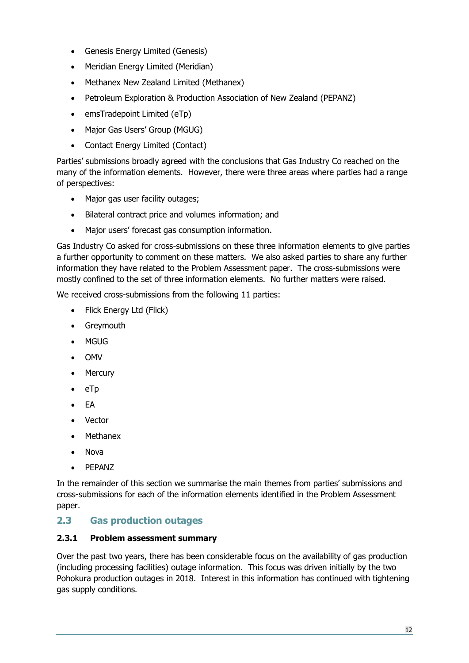- Genesis Energy Limited (Genesis)
- Meridian Energy Limited (Meridian)
- Methanex New Zealand Limited (Methanex)
- Petroleum Exploration & Production Association of New Zealand (PEPANZ)
- emsTradepoint Limited (eTp)
- Major Gas Users' Group (MGUG)
- Contact Energy Limited (Contact)

Parties' submissions broadly agreed with the conclusions that Gas Industry Co reached on the many of the information elements. However, there were three areas where parties had a range of perspectives:

- Major gas user facility outages;
- Bilateral contract price and volumes information; and
- Major users' forecast gas consumption information.

Gas Industry Co asked for cross-submissions on these three information elements to give parties a further opportunity to comment on these matters. We also asked parties to share any further information they have related to the Problem Assessment paper. The cross-submissions were mostly confined to the set of three information elements. No further matters were raised.

We received cross-submissions from the following 11 parties:

- Flick Energy Ltd (Flick)
- Greymouth
- MGUG
- OMV
- Mercury
- eTp
- EA
- Vector
- Methanex
- Nova
- PEPANZ

In the remainder of this section we summarise the main themes from parties' submissions and cross-submissions for each of the information elements identified in the Problem Assessment paper.

# <span id="page-11-0"></span>**2.3 Gas production outages**

## <span id="page-11-1"></span>**2.3.1 Problem assessment summary**

Over the past two years, there has been considerable focus on the availability of gas production (including processing facilities) outage information. This focus was driven initially by the two Pohokura production outages in 2018. Interest in this information has continued with tightening gas supply conditions.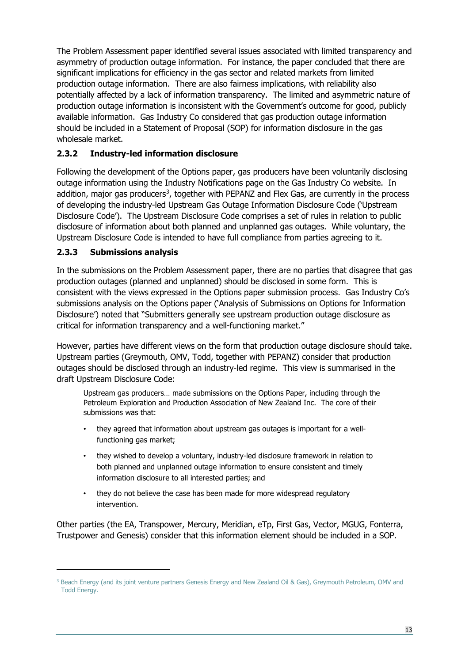The Problem Assessment paper identified several issues associated with limited transparency and asymmetry of production outage information. For instance, the paper concluded that there are significant implications for efficiency in the gas sector and related markets from limited production outage information. There are also fairness implications, with reliability also potentially affected by a lack of information transparency. The limited and asymmetric nature of production outage information is inconsistent with the Government's outcome for good, publicly available information. Gas Industry Co considered that gas production outage information should be included in a Statement of Proposal (SOP) for information disclosure in the gas wholesale market.

# <span id="page-12-0"></span>**2.3.2 Industry-led information disclosure**

Following the development of the Options paper, gas producers have been voluntarily disclosing outage information using the Industry Notifications page on the Gas Industry Co website. In addition, major gas producers<sup>3</sup>, together with PEPANZ and Flex Gas, are currently in the process of developing the industry-led Upstream Gas Outage Information Disclosure Code ('Upstream Disclosure Code'). The Upstream Disclosure Code comprises a set of rules in relation to public disclosure of information about both planned and unplanned gas outages. While voluntary, the Upstream Disclosure Code is intended to have full compliance from parties agreeing to it.

# <span id="page-12-1"></span>**2.3.3 Submissions analysis**

In the submissions on the Problem Assessment paper, there are no parties that disagree that gas production outages (planned and unplanned) should be disclosed in some form. This is consistent with the views expressed in the Options paper submission process. Gas Industry Co's submissions analysis on the Options paper ('Analysis of Submissions on Options for Information Disclosure') noted that "Submitters generally see upstream production outage disclosure as critical for information transparency and a well-functioning market."

However, parties have different views on the form that production outage disclosure should take. Upstream parties (Greymouth, OMV, Todd, together with PEPANZ) consider that production outages should be disclosed through an industry-led regime. This view is summarised in the draft Upstream Disclosure Code:

Upstream gas producers… made submissions on the Options Paper, including through the Petroleum Exploration and Production Association of New Zealand Inc. The core of their submissions was that:

- they agreed that information about upstream gas outages is important for a wellfunctioning gas market;
- they wished to develop a voluntary, industry-led disclosure framework in relation to both planned and unplanned outage information to ensure consistent and timely information disclosure to all interested parties; and
- they do not believe the case has been made for more widespread regulatory intervention.

Other parties (the EA, Transpower, Mercury, Meridian, eTp, First Gas, Vector, MGUG, Fonterra, Trustpower and Genesis) consider that this information element should be included in a SOP.

<span id="page-12-2"></span><sup>&</sup>lt;sup>3</sup> Beach Energy (and its joint venture partners Genesis Energy and New Zealand Oil & Gas), Greymouth Petroleum, OMV and Todd Energy.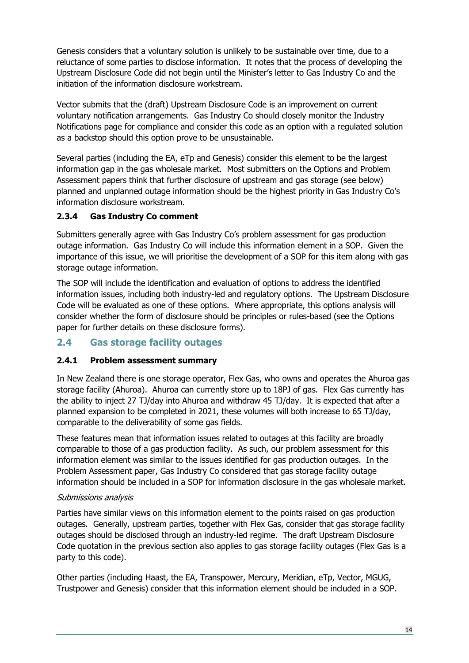Genesis considers that a voluntary solution is unlikely to be sustainable over time, due to a reluctance of some parties to disclose information. It notes that the process of developing the Upstream Disclosure Code did not begin until the Minister's letter to Gas Industry Co and the initiation of the information disclosure workstream.

Vector submits that the (draft) Upstream Disclosure Code is an improvement on current voluntary notification arrangements. Gas Industry Co should closely monitor the Industry Notifications page for compliance and consider this code as an option with a regulated solution as a backstop should this option prove to be unsustainable.

Several parties (including the EA, eTp and Genesis) consider this element to be the largest information gap in the gas wholesale market. Most submitters on the Options and Problem Assessment papers think that further disclosure of upstream and gas storage (see below) planned and unplanned outage information should be the highest priority in Gas Industry Co's information disclosure workstream.

# <span id="page-13-0"></span>**2.3.4 Gas Industry Co comment**

Submitters generally agree with Gas Industry Co's problem assessment for gas production outage information. Gas Industry Co will include this information element in a SOP. Given the importance of this issue, we will prioritise the development of a SOP for this item along with gas storage outage information.

The SOP will include the identification and evaluation of options to address the identified information issues, including both industry-led and regulatory options. The Upstream Disclosure Code will be evaluated as one of these options. Where appropriate, this options analysis will consider whether the form of disclosure should be principles or rules-based (see the Options paper for further details on these disclosure forms).

# <span id="page-13-1"></span>**2.4 Gas storage facility outages**

#### <span id="page-13-2"></span>**2.4.1 Problem assessment summary**

In New Zealand there is one storage operator, Flex Gas, who owns and operates the Ahuroa gas storage facility (Ahuroa). Ahuroa can currently store up to 18PJ of gas. Flex Gas currently has the ability to inject 27 TJ/day into Ahuroa and withdraw 45 TJ/day. It is expected that after a planned expansion to be completed in 2021, these volumes will both increase to 65 TJ/day, comparable to the deliverability of some gas fields.

These features mean that information issues related to outages at this facility are broadly comparable to those of a gas production facility. As such, our problem assessment for this information element was similar to the issues identified for gas production outages. In the Problem Assessment paper, Gas Industry Co considered that gas storage facility outage information should be included in a SOP for information disclosure in the gas wholesale market.

#### Submissions analysis

Parties have similar views on this information element to the points raised on gas production outages. Generally, upstream parties, together with Flex Gas, consider that gas storage facility outages should be disclosed through an industry-led regime. The draft Upstream Disclosure Code quotation in the previous section also applies to gas storage facility outages (Flex Gas is a party to this code).

Other parties (including Haast, the EA, Transpower, Mercury, Meridian, eTp, Vector, MGUG, Trustpower and Genesis) consider that this information element should be included in a SOP.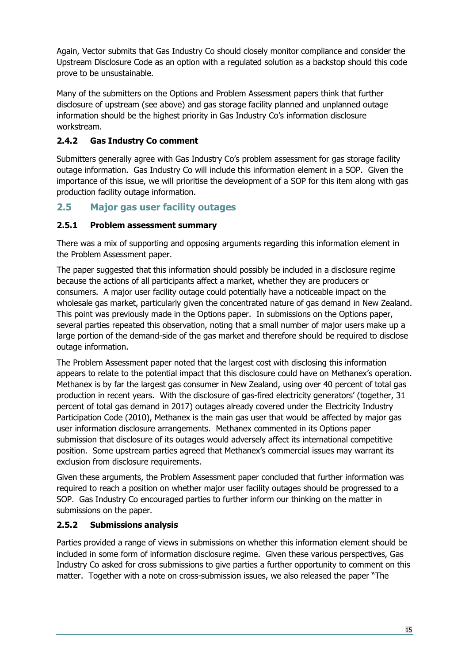Again, Vector submits that Gas Industry Co should closely monitor compliance and consider the Upstream Disclosure Code as an option with a regulated solution as a backstop should this code prove to be unsustainable.

Many of the submitters on the Options and Problem Assessment papers think that further disclosure of upstream (see above) and gas storage facility planned and unplanned outage information should be the highest priority in Gas Industry Co's information disclosure workstream.

# <span id="page-14-0"></span>**2.4.2 Gas Industry Co comment**

Submitters generally agree with Gas Industry Co's problem assessment for gas storage facility outage information. Gas Industry Co will include this information element in a SOP. Given the importance of this issue, we will prioritise the development of a SOP for this item along with gas production facility outage information.

# <span id="page-14-1"></span>**2.5 Major gas user facility outages**

## <span id="page-14-2"></span>**2.5.1 Problem assessment summary**

There was a mix of supporting and opposing arguments regarding this information element in the Problem Assessment paper.

The paper suggested that this information should possibly be included in a disclosure regime because the actions of all participants affect a market, whether they are producers or consumers. A major user facility outage could potentially have a noticeable impact on the wholesale gas market, particularly given the concentrated nature of gas demand in New Zealand. This point was previously made in the Options paper. In submissions on the Options paper, several parties repeated this observation, noting that a small number of major users make up a large portion of the demand-side of the gas market and therefore should be required to disclose outage information.

The Problem Assessment paper noted that the largest cost with disclosing this information appears to relate to the potential impact that this disclosure could have on Methanex's operation. Methanex is by far the largest gas consumer in New Zealand, using over 40 percent of total gas production in recent years. With the disclosure of gas-fired electricity generators' (together, 31 percent of total gas demand in 2017) outages already covered under the Electricity Industry Participation Code (2010), Methanex is the main gas user that would be affected by major gas user information disclosure arrangements. Methanex commented in its Options paper submission that disclosure of its outages would adversely affect its international competitive position. Some upstream parties agreed that Methanex's commercial issues may warrant its exclusion from disclosure requirements.

Given these arguments, the Problem Assessment paper concluded that further information was required to reach a position on whether major user facility outages should be progressed to a SOP. Gas Industry Co encouraged parties to further inform our thinking on the matter in submissions on the paper.

#### <span id="page-14-3"></span>**2.5.2 Submissions analysis**

Parties provided a range of views in submissions on whether this information element should be included in some form of information disclosure regime. Given these various perspectives, Gas Industry Co asked for cross submissions to give parties a further opportunity to comment on this matter. Together with a note on cross-submission issues, we also released the paper "The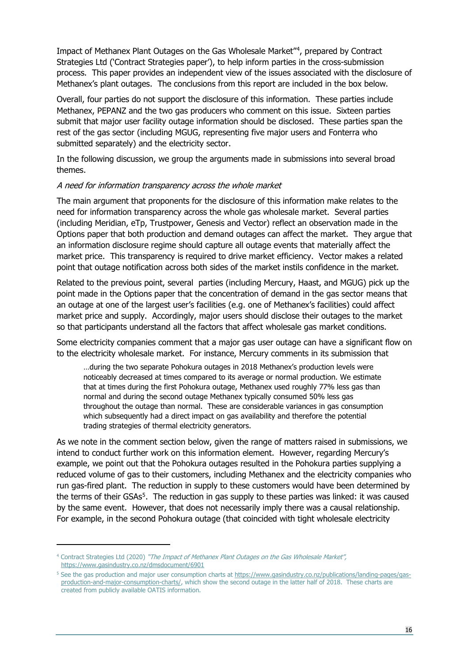Impact of Methanex Plant Outages on the Gas Wholesale Market"[4](#page-15-0), prepared by Contract Strategies Ltd ('Contract Strategies paper'), to help inform parties in the cross-submission process. This paper provides an independent view of the issues associated with the disclosure of Methanex's plant outages. The conclusions from this report are included in the box below.

Overall, four parties do not support the disclosure of this information. These parties include Methanex, PEPANZ and the two gas producers who comment on this issue. Sixteen parties submit that major user facility outage information should be disclosed. These parties span the rest of the gas sector (including MGUG, representing five major users and Fonterra who submitted separately) and the electricity sector.

In the following discussion, we group the arguments made in submissions into several broad themes.

#### A need for information transparency across the whole market

The main argument that proponents for the disclosure of this information make relates to the need for information transparency across the whole gas wholesale market. Several parties (including Meridian, eTp, Trustpower, Genesis and Vector) reflect an observation made in the Options paper that both production and demand outages can affect the market. They argue that an information disclosure regime should capture all outage events that materially affect the market price. This transparency is required to drive market efficiency. Vector makes a related point that outage notification across both sides of the market instils confidence in the market.

Related to the previous point, several parties (including Mercury, Haast, and MGUG) pick up the point made in the Options paper that the concentration of demand in the gas sector means that an outage at one of the largest user's facilities (e.g. one of Methanex's facilities) could affect market price and supply. Accordingly, major users should disclose their outages to the market so that participants understand all the factors that affect wholesale gas market conditions.

Some electricity companies comment that a major gas user outage can have a significant flow on to the electricity wholesale market. For instance, Mercury comments in its submission that

…during the two separate Pohokura outages in 2018 Methanex's production levels were noticeably decreased at times compared to its average or normal production. We estimate that at times during the first Pohokura outage, Methanex used roughly 77% less gas than normal and during the second outage Methanex typically consumed 50% less gas throughout the outage than normal. These are considerable variances in gas consumption which subsequently had a direct impact on gas availability and therefore the potential trading strategies of thermal electricity generators.

As we note in the comment section below, given the range of matters raised in submissions, we intend to conduct further work on this information element. However, regarding Mercury's example, we point out that the Pohokura outages resulted in the Pohokura parties supplying a reduced volume of gas to their customers, including Methanex and the electricity companies who run gas-fired plant. The reduction in supply to these customers would have been determined by the terms of their GSAs<sup>5</sup>. The reduction in gas supply to these parties was linked: it was caused by the same event. However, that does not necessarily imply there was a causal relationship. For example, in the second Pohokura outage (that coincided with tight wholesale electricity

<span id="page-15-0"></span><sup>&</sup>lt;sup>4</sup> Contract Strategies Ltd (2020) "The Impact of Methanex Plant Outages on the Gas Wholesale Market", <https://www.gasindustry.co.nz/dmsdocument/6901>

<span id="page-15-1"></span><sup>5</sup> See the gas production and major user consumption charts at [https://www.gasindustry.co.nz/publications/landing-pages/gas](https://www.gasindustry.co.nz/publications/landing-pages/gas-production-and-major-consumption-charts/)[production-and-major-consumption-charts/,](https://www.gasindustry.co.nz/publications/landing-pages/gas-production-and-major-consumption-charts/) which show the second outage in the latter half of 2018. These charts are created from publicly available OATIS information.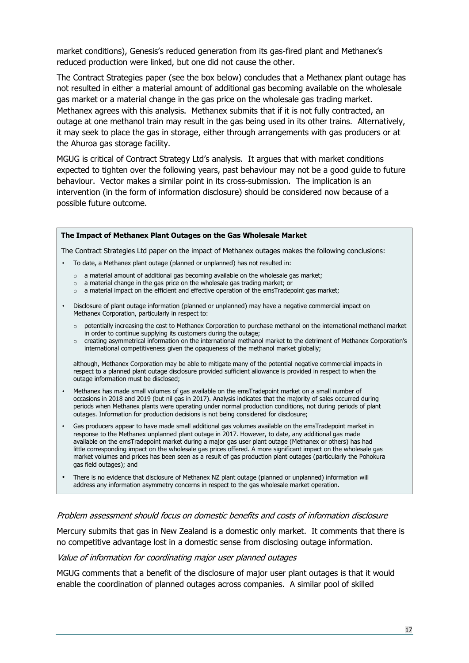market conditions), Genesis's reduced generation from its gas-fired plant and Methanex's reduced production were linked, but one did not cause the other.

The Contract Strategies paper (see the box below) concludes that a Methanex plant outage has not resulted in either a material amount of additional gas becoming available on the wholesale gas market or a material change in the gas price on the wholesale gas trading market. Methanex agrees with this analysis. Methanex submits that if it is not fully contracted, an outage at one methanol train may result in the gas being used in its other trains. Alternatively, it may seek to place the gas in storage, either through arrangements with gas producers or at the Ahuroa gas storage facility.

MGUG is critical of Contract Strategy Ltd's analysis. It argues that with market conditions expected to tighten over the following years, past behaviour may not be a good guide to future behaviour. Vector makes a similar point in its cross-submission. The implication is an intervention (in the form of information disclosure) should be considered now because of a possible future outcome.

#### **The Impact of Methanex Plant Outages on the Gas Wholesale Market**

The Contract Strategies Ltd paper on the impact of Methanex outages makes the following conclusions:

- To date, a Methanex plant outage (planned or unplanned) has not resulted in:
	- $\circ$  a material amount of additional gas becoming available on the wholesale gas market:
	- $\circ$  a material change in the gas price on the wholesale gas trading market; or
	- o a material impact on the efficient and effective operation of the emsTradepoint gas market;
- Disclosure of plant outage information (planned or unplanned) may have a negative commercial impact on Methanex Corporation, particularly in respect to:
	- $\circ$  potentially increasing the cost to Methanex Corporation to purchase methanol on the international methanol market in order to continue supplying its customers during the outage;
	- o creating asymmetrical information on the international methanol market to the detriment of Methanex Corporation's international competitiveness given the opaqueness of the methanol market globally;

although, Methanex Corporation may be able to mitigate many of the potential negative commercial impacts in respect to a planned plant outage disclosure provided sufficient allowance is provided in respect to when the outage information must be disclosed;

- Methanex has made small volumes of gas available on the emsTradepoint market on a small number of occasions in 2018 and 2019 (but nil gas in 2017). Analysis indicates that the majority of sales occurred during periods when Methanex plants were operating under normal production conditions, not during periods of plant outages. Information for production decisions is not being considered for disclosure;
- Gas producers appear to have made small additional gas volumes available on the emsTradepoint market in response to the Methanex unplanned plant outage in 2017. However, to date, any additional gas made available on the emsTradepoint market during a major gas user plant outage (Methanex or others) has had little corresponding impact on the wholesale gas prices offered. A more significant impact on the wholesale gas market volumes and prices has been seen as a result of gas production plant outages (particularly the Pohokura gas field outages); and
- There is no evidence that disclosure of Methanex NZ plant outage (planned or unplanned) information will address any information asymmetry concerns in respect to the gas wholesale market operation.

#### Problem assessment should focus on domestic benefits and costs of information disclosure

Mercury submits that gas in New Zealand is a domestic only market. It comments that there is no competitive advantage lost in a domestic sense from disclosing outage information.

#### Value of information for coordinating major user planned outages

MGUG comments that a benefit of the disclosure of major user plant outages is that it would enable the coordination of planned outages across companies. A similar pool of skilled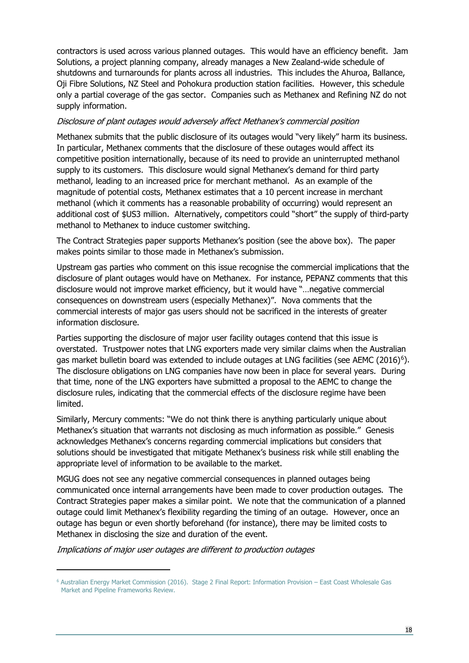contractors is used across various planned outages. This would have an efficiency benefit. Jam Solutions, a project planning company, already manages a New Zealand-wide schedule of shutdowns and turnarounds for plants across all industries. This includes the Ahuroa, Ballance, Oji Fibre Solutions, NZ Steel and Pohokura production station facilities. However, this schedule only a partial coverage of the gas sector. Companies such as Methanex and Refining NZ do not supply information.

#### Disclosure of plant outages would adversely affect Methanex's commercial position

Methanex submits that the public disclosure of its outages would "very likely" harm its business. In particular, Methanex comments that the disclosure of these outages would affect its competitive position internationally, because of its need to provide an uninterrupted methanol supply to its customers. This disclosure would signal Methanex's demand for third party methanol, leading to an increased price for merchant methanol. As an example of the magnitude of potential costs, Methanex estimates that a 10 percent increase in merchant methanol (which it comments has a reasonable probability of occurring) would represent an additional cost of \$US3 million. Alternatively, competitors could "short" the supply of third-party methanol to Methanex to induce customer switching.

The Contract Strategies paper supports Methanex's position (see the above box). The paper makes points similar to those made in Methanex's submission.

Upstream gas parties who comment on this issue recognise the commercial implications that the disclosure of plant outages would have on Methanex. For instance, PEPANZ comments that this disclosure would not improve market efficiency, but it would have "…negative commercial consequences on downstream users (especially Methanex)". Nova comments that the commercial interests of major gas users should not be sacrificed in the interests of greater information disclosure.

Parties supporting the disclosure of major user facility outages contend that this issue is overstated. Trustpower notes that LNG exporters made very similar claims when the Australian gas market bulletin board was extended to include outages at LNG facilities (see AEMC (2016)[6](#page-17-0)). The disclosure obligations on LNG companies have now been in place for several years. During that time, none of the LNG exporters have submitted a proposal to the AEMC to change the disclosure rules, indicating that the commercial effects of the disclosure regime have been limited.

Similarly, Mercury comments: "We do not think there is anything particularly unique about Methanex's situation that warrants not disclosing as much information as possible." Genesis acknowledges Methanex's concerns regarding commercial implications but considers that solutions should be investigated that mitigate Methanex's business risk while still enabling the appropriate level of information to be available to the market.

MGUG does not see any negative commercial consequences in planned outages being communicated once internal arrangements have been made to cover production outages. The Contract Strategies paper makes a similar point. We note that the communication of a planned outage could limit Methanex's flexibility regarding the timing of an outage. However, once an outage has begun or even shortly beforehand (for instance), there may be limited costs to Methanex in disclosing the size and duration of the event.

Implications of major user outages are different to production outages

<span id="page-17-0"></span><sup>6</sup> Australian Energy Market Commission (2016). Stage 2 Final Report: Information Provision – East Coast Wholesale Gas Market and Pipeline Frameworks Review.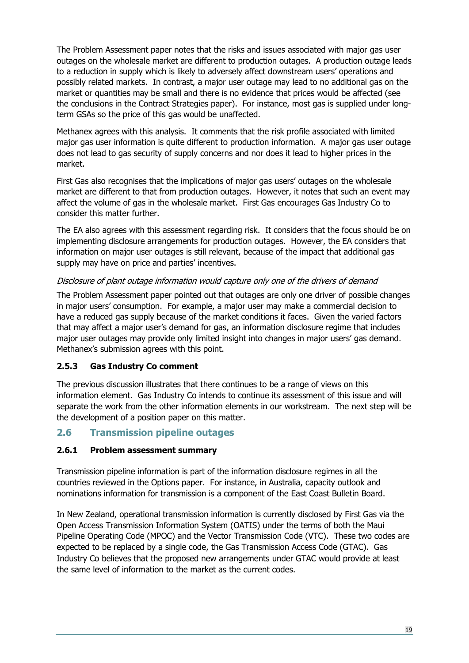The Problem Assessment paper notes that the risks and issues associated with major gas user outages on the wholesale market are different to production outages. A production outage leads to a reduction in supply which is likely to adversely affect downstream users' operations and possibly related markets. In contrast, a major user outage may lead to no additional gas on the market or quantities may be small and there is no evidence that prices would be affected (see the conclusions in the Contract Strategies paper). For instance, most gas is supplied under longterm GSAs so the price of this gas would be unaffected.

Methanex agrees with this analysis. It comments that the risk profile associated with limited major gas user information is quite different to production information. A major gas user outage does not lead to gas security of supply concerns and nor does it lead to higher prices in the market.

First Gas also recognises that the implications of major gas users' outages on the wholesale market are different to that from production outages. However, it notes that such an event may affect the volume of gas in the wholesale market. First Gas encourages Gas Industry Co to consider this matter further.

The EA also agrees with this assessment regarding risk. It considers that the focus should be on implementing disclosure arrangements for production outages. However, the EA considers that information on major user outages is still relevant, because of the impact that additional gas supply may have on price and parties' incentives.

#### Disclosure of plant outage information would capture only one of the drivers of demand

The Problem Assessment paper pointed out that outages are only one driver of possible changes in major users' consumption. For example, a major user may make a commercial decision to have a reduced gas supply because of the market conditions it faces. Given the varied factors that may affect a major user's demand for gas, an information disclosure regime that includes major user outages may provide only limited insight into changes in major users' gas demand. Methanex's submission agrees with this point.

#### <span id="page-18-0"></span>**2.5.3 Gas Industry Co comment**

The previous discussion illustrates that there continues to be a range of views on this information element. Gas Industry Co intends to continue its assessment of this issue and will separate the work from the other information elements in our workstream. The next step will be the development of a position paper on this matter.

# <span id="page-18-1"></span>**2.6 Transmission pipeline outages**

#### <span id="page-18-2"></span>**2.6.1 Problem assessment summary**

Transmission pipeline information is part of the information disclosure regimes in all the countries reviewed in the Options paper. For instance, in Australia, capacity outlook and nominations information for transmission is a component of the East Coast Bulletin Board.

In New Zealand, operational transmission information is currently disclosed by First Gas via the Open Access Transmission Information System (OATIS) under the terms of both the Maui Pipeline Operating Code (MPOC) and the Vector Transmission Code (VTC). These two codes are expected to be replaced by a single code, the Gas Transmission Access Code (GTAC). Gas Industry Co believes that the proposed new arrangements under GTAC would provide at least the same level of information to the market as the current codes.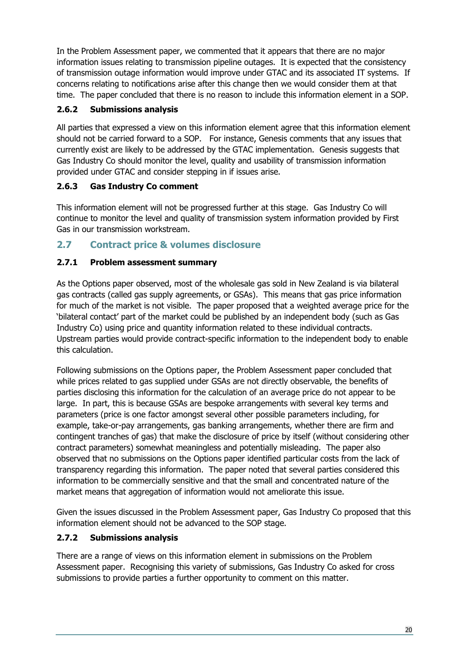In the Problem Assessment paper, we commented that it appears that there are no major information issues relating to transmission pipeline outages. It is expected that the consistency of transmission outage information would improve under GTAC and its associated IT systems. If concerns relating to notifications arise after this change then we would consider them at that time. The paper concluded that there is no reason to include this information element in a SOP.

# <span id="page-19-0"></span>**2.6.2 Submissions analysis**

All parties that expressed a view on this information element agree that this information element should not be carried forward to a SOP. For instance, Genesis comments that any issues that currently exist are likely to be addressed by the GTAC implementation. Genesis suggests that Gas Industry Co should monitor the level, quality and usability of transmission information provided under GTAC and consider stepping in if issues arise.

# <span id="page-19-1"></span>**2.6.3 Gas Industry Co comment**

This information element will not be progressed further at this stage. Gas Industry Co will continue to monitor the level and quality of transmission system information provided by First Gas in our transmission workstream.

# <span id="page-19-2"></span>**2.7 Contract price & volumes disclosure**

# <span id="page-19-3"></span>**2.7.1 Problem assessment summary**

As the Options paper observed, most of the wholesale gas sold in New Zealand is via bilateral gas contracts (called gas supply agreements, or GSAs). This means that gas price information for much of the market is not visible. The paper proposed that a weighted average price for the 'bilateral contact' part of the market could be published by an independent body (such as Gas Industry Co) using price and quantity information related to these individual contracts. Upstream parties would provide contract-specific information to the independent body to enable this calculation.

Following submissions on the Options paper, the Problem Assessment paper concluded that while prices related to gas supplied under GSAs are not directly observable, the benefits of parties disclosing this information for the calculation of an average price do not appear to be large. In part, this is because GSAs are bespoke arrangements with several key terms and parameters (price is one factor amongst several other possible parameters including, for example, take-or-pay arrangements, gas banking arrangements, whether there are firm and contingent tranches of gas) that make the disclosure of price by itself (without considering other contract parameters) somewhat meaningless and potentially misleading. The paper also observed that no submissions on the Options paper identified particular costs from the lack of transparency regarding this information. The paper noted that several parties considered this information to be commercially sensitive and that the small and concentrated nature of the market means that aggregation of information would not ameliorate this issue.

Given the issues discussed in the Problem Assessment paper, Gas Industry Co proposed that this information element should not be advanced to the SOP stage.

# <span id="page-19-4"></span>**2.7.2 Submissions analysis**

There are a range of views on this information element in submissions on the Problem Assessment paper. Recognising this variety of submissions, Gas Industry Co asked for cross submissions to provide parties a further opportunity to comment on this matter.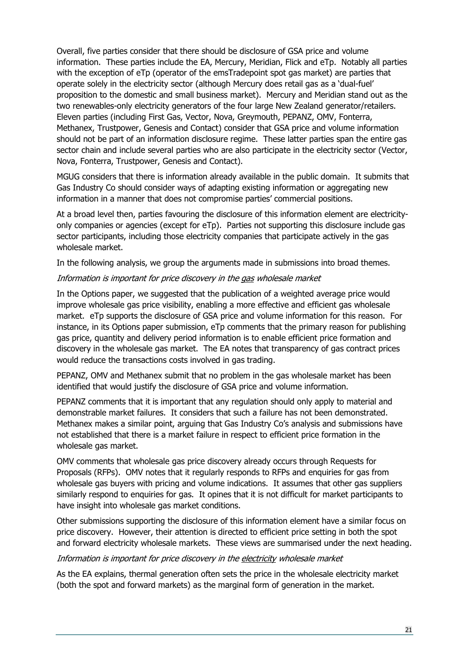Overall, five parties consider that there should be disclosure of GSA price and volume information. These parties include the EA, Mercury, Meridian, Flick and eTp. Notably all parties with the exception of eTp (operator of the emsTradepoint spot gas market) are parties that operate solely in the electricity sector (although Mercury does retail gas as a 'dual-fuel' proposition to the domestic and small business market). Mercury and Meridian stand out as the two renewables-only electricity generators of the four large New Zealand generator/retailers. Eleven parties (including First Gas, Vector, Nova, Greymouth, PEPANZ, OMV, Fonterra, Methanex, Trustpower, Genesis and Contact) consider that GSA price and volume information should not be part of an information disclosure regime. These latter parties span the entire gas sector chain and include several parties who are also participate in the electricity sector (Vector, Nova, Fonterra, Trustpower, Genesis and Contact).

MGUG considers that there is information already available in the public domain. It submits that Gas Industry Co should consider ways of adapting existing information or aggregating new information in a manner that does not compromise parties' commercial positions.

At a broad level then, parties favouring the disclosure of this information element are electricityonly companies or agencies (except for eTp). Parties not supporting this disclosure include gas sector participants, including those electricity companies that participate actively in the gas wholesale market.

In the following analysis, we group the arguments made in submissions into broad themes.

#### Information is important for price discovery in the gas wholesale market

In the Options paper, we suggested that the publication of a weighted average price would improve wholesale gas price visibility, enabling a more effective and efficient gas wholesale market. eTp supports the disclosure of GSA price and volume information for this reason. For instance, in its Options paper submission, eTp comments that the primary reason for publishing gas price, quantity and delivery period information is to enable efficient price formation and discovery in the wholesale gas market. The EA notes that transparency of gas contract prices would reduce the transactions costs involved in gas trading.

PEPANZ, OMV and Methanex submit that no problem in the gas wholesale market has been identified that would justify the disclosure of GSA price and volume information.

PEPANZ comments that it is important that any regulation should only apply to material and demonstrable market failures. It considers that such a failure has not been demonstrated. Methanex makes a similar point, arguing that Gas Industry Co's analysis and submissions have not established that there is a market failure in respect to efficient price formation in the wholesale gas market.

OMV comments that wholesale gas price discovery already occurs through Requests for Proposals (RFPs). OMV notes that it regularly responds to RFPs and enquiries for gas from wholesale gas buyers with pricing and volume indications. It assumes that other gas suppliers similarly respond to enquiries for gas. It opines that it is not difficult for market participants to have insight into wholesale gas market conditions.

Other submissions supporting the disclosure of this information element have a similar focus on price discovery. However, their attention is directed to efficient price setting in both the spot and forward electricity wholesale markets. These views are summarised under the next heading.

#### Information is important for price discovery in the electricity wholesale market

As the EA explains, thermal generation often sets the price in the wholesale electricity market (both the spot and forward markets) as the marginal form of generation in the market.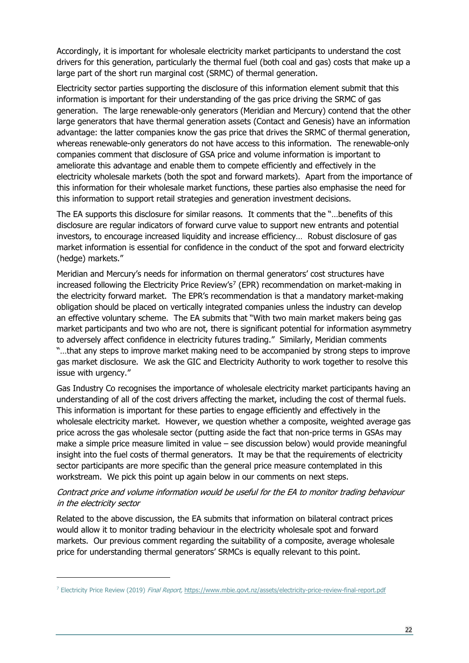Accordingly, it is important for wholesale electricity market participants to understand the cost drivers for this generation, particularly the thermal fuel (both coal and gas) costs that make up a large part of the short run marginal cost (SRMC) of thermal generation.

Electricity sector parties supporting the disclosure of this information element submit that this information is important for their understanding of the gas price driving the SRMC of gas generation. The large renewable-only generators (Meridian and Mercury) contend that the other large generators that have thermal generation assets (Contact and Genesis) have an information advantage: the latter companies know the gas price that drives the SRMC of thermal generation, whereas renewable-only generators do not have access to this information. The renewable-only companies comment that disclosure of GSA price and volume information is important to ameliorate this advantage and enable them to compete efficiently and effectively in the electricity wholesale markets (both the spot and forward markets). Apart from the importance of this information for their wholesale market functions, these parties also emphasise the need for this information to support retail strategies and generation investment decisions.

The EA supports this disclosure for similar reasons. It comments that the "…benefits of this disclosure are regular indicators of forward curve value to support new entrants and potential investors, to encourage increased liquidity and increase efficiency… Robust disclosure of gas market information is essential for confidence in the conduct of the spot and forward electricity (hedge) markets."

Meridian and Mercury's needs for information on thermal generators' cost structures have increased following the Electricity Price Review's<sup>[7](#page-21-0)</sup> (EPR) recommendation on market-making in the electricity forward market. The EPR's recommendation is that a mandatory market-making obligation should be placed on vertically integrated companies unless the industry can develop an effective voluntary scheme. The EA submits that "With two main market makers being gas market participants and two who are not, there is significant potential for information asymmetry to adversely affect confidence in electricity futures trading." Similarly, Meridian comments "…that any steps to improve market making need to be accompanied by strong steps to improve gas market disclosure. We ask the GIC and Electricity Authority to work together to resolve this issue with urgency."

Gas Industry Co recognises the importance of wholesale electricity market participants having an understanding of all of the cost drivers affecting the market, including the cost of thermal fuels. This information is important for these parties to engage efficiently and effectively in the wholesale electricity market. However, we question whether a composite, weighted average gas price across the gas wholesale sector (putting aside the fact that non-price terms in GSAs may make a simple price measure limited in value – see discussion below) would provide meaningful insight into the fuel costs of thermal generators. It may be that the requirements of electricity sector participants are more specific than the general price measure contemplated in this workstream. We pick this point up again below in our comments on next steps.

#### Contract price and volume information would be useful for the EA to monitor trading behaviour in the electricity sector

Related to the above discussion, the EA submits that information on bilateral contract prices would allow it to monitor trading behaviour in the electricity wholesale spot and forward markets. Our previous comment regarding the suitability of a composite, average wholesale price for understanding thermal generators' SRMCs is equally relevant to this point.

<span id="page-21-0"></span><sup>7</sup> Electricity Price Review (2019) Final Report, <https://www.mbie.govt.nz/assets/electricity-price-review-final-report.pdf>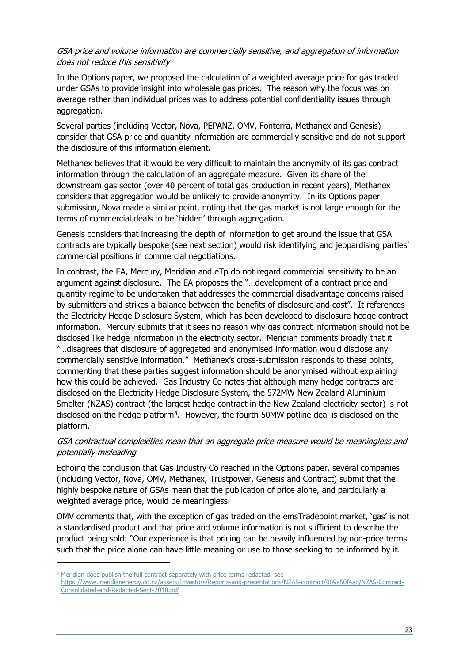#### GSA price and volume information are commercially sensitive, and aggregation of information does not reduce this sensitivity

In the Options paper, we proposed the calculation of a weighted average price for gas traded under GSAs to provide insight into wholesale gas prices. The reason why the focus was on average rather than individual prices was to address potential confidentiality issues through aggregation.

Several parties (including Vector, Nova, PEPANZ, OMV, Fonterra, Methanex and Genesis) consider that GSA price and quantity information are commercially sensitive and do not support the disclosure of this information element.

Methanex believes that it would be very difficult to maintain the anonymity of its gas contract information through the calculation of an aggregate measure. Given its share of the downstream gas sector (over 40 percent of total gas production in recent years), Methanex considers that aggregation would be unlikely to provide anonymity. In its Options paper submission, Nova made a similar point, noting that the gas market is not large enough for the terms of commercial deals to be 'hidden' through aggregation.

Genesis considers that increasing the depth of information to get around the issue that GSA contracts are typically bespoke (see next section) would risk identifying and jeopardising parties' commercial positions in commercial negotiations.

In contrast, the EA, Mercury, Meridian and eTp do not regard commercial sensitivity to be an argument against disclosure. The EA proposes the "…development of a contract price and quantity regime to be undertaken that addresses the commercial disadvantage concerns raised by submitters and strikes a balance between the benefits of disclosure and cost". It references the Electricity Hedge Disclosure System, which has been developed to disclosure hedge contract information. Mercury submits that it sees no reason why gas contract information should not be disclosed like hedge information in the electricity sector. Meridian comments broadly that it "…disagrees that disclosure of aggregated and anonymised information would disclose any commercially sensitive information." Methanex's cross-submission responds to these points, commenting that these parties suggest information should be anonymised without explaining how this could be achieved. Gas Industry Co notes that although many hedge contracts are disclosed on the Electricity Hedge Disclosure System, the 572MW New Zealand Aluminium Smelter (NZAS) contract (the largest hedge contract in the New Zealand electricity sector) is not disclosed on the hedge platform<sup>8</sup>. However, the fourth 50MW potline deal is disclosed on the platform.

#### GSA contractual complexities mean that an aggregate price measure would be meaningless and potentially misleading

Echoing the conclusion that Gas Industry Co reached in the Options paper, several companies (including Vector, Nova, OMV, Methanex, Trustpower, Genesis and Contract) submit that the highly bespoke nature of GSAs mean that the publication of price alone, and particularly a weighted average price, would be meaningless.

OMV comments that, with the exception of gas traded on the emsTradepoint market, 'gas' is not a standardised product and that price and volume information is not sufficient to describe the product being sold: "Our experience is that pricing can be heavily influenced by non-price terms such that the price alone can have little meaning or use to those seeking to be informed by it.

<span id="page-22-0"></span><sup>&</sup>lt;sup>8</sup> Meridian does publish the full contract separately with price terms redacted, see [https://www.meridianenergy.co.nz/assets/Investors/Reports-and-presentations/NZAS-contract/009a50f4ad/NZAS-Contract-](https://www.meridianenergy.co.nz/assets/Investors/Reports-and-presentations/NZAS-contract/009a50f4ad/NZAS-Contract-Consolidated-and-Redacted-Sept-2018.pdf)[Consolidated-and-Redacted-Sept-2018.pdf](https://www.meridianenergy.co.nz/assets/Investors/Reports-and-presentations/NZAS-contract/009a50f4ad/NZAS-Contract-Consolidated-and-Redacted-Sept-2018.pdf)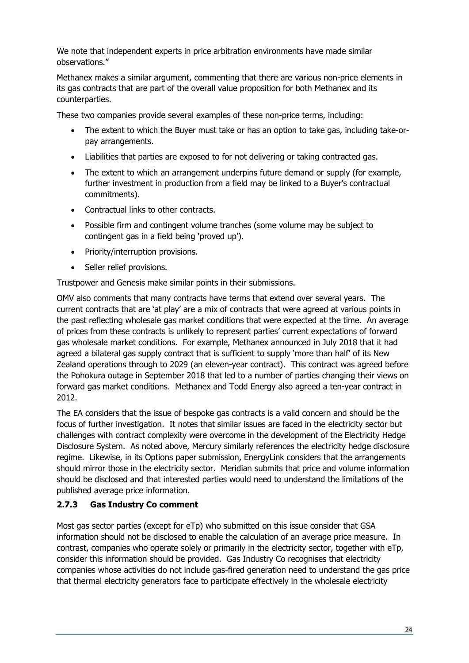We note that independent experts in price arbitration environments have made similar observations."

Methanex makes a similar argument, commenting that there are various non-price elements in its gas contracts that are part of the overall value proposition for both Methanex and its counterparties.

These two companies provide several examples of these non-price terms, including:

- The extent to which the Buyer must take or has an option to take gas, including take-orpay arrangements.
- Liabilities that parties are exposed to for not delivering or taking contracted gas.
- The extent to which an arrangement underpins future demand or supply (for example, further investment in production from a field may be linked to a Buyer's contractual commitments).
- Contractual links to other contracts.
- Possible firm and contingent volume tranches (some volume may be subject to contingent gas in a field being 'proved up').
- Priority/interruption provisions.
- Seller relief provisions.

Trustpower and Genesis make similar points in their submissions.

OMV also comments that many contracts have terms that extend over several years. The current contracts that are 'at play' are a mix of contracts that were agreed at various points in the past reflecting wholesale gas market conditions that were expected at the time. An average of prices from these contracts is unlikely to represent parties' current expectations of forward gas wholesale market conditions. For example, Methanex announced in July 2018 that it had agreed a bilateral gas supply contract that is sufficient to supply 'more than half' of its New Zealand operations through to 2029 (an eleven-year contract). This contract was agreed before the Pohokura outage in September 2018 that led to a number of parties changing their views on forward gas market conditions. Methanex and Todd Energy also agreed a ten-year contract in 2012.

The EA considers that the issue of bespoke gas contracts is a valid concern and should be the focus of further investigation. It notes that similar issues are faced in the electricity sector but challenges with contract complexity were overcome in the development of the Electricity Hedge Disclosure System. As noted above, Mercury similarly references the electricity hedge disclosure regime. Likewise, in its Options paper submission, EnergyLink considers that the arrangements should mirror those in the electricity sector. Meridian submits that price and volume information should be disclosed and that interested parties would need to understand the limitations of the published average price information.

# <span id="page-23-0"></span>**2.7.3 Gas Industry Co comment**

Most gas sector parties (except for eTp) who submitted on this issue consider that GSA information should not be disclosed to enable the calculation of an average price measure. In contrast, companies who operate solely or primarily in the electricity sector, together with eTp, consider this information should be provided. Gas Industry Co recognises that electricity companies whose activities do not include gas-fired generation need to understand the gas price that thermal electricity generators face to participate effectively in the wholesale electricity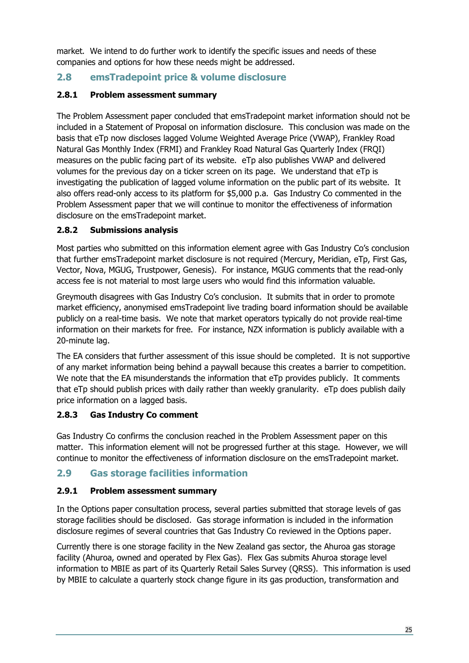market. We intend to do further work to identify the specific issues and needs of these companies and options for how these needs might be addressed.

# <span id="page-24-0"></span>**2.8 emsTradepoint price & volume disclosure**

# <span id="page-24-1"></span>**2.8.1 Problem assessment summary**

The Problem Assessment paper concluded that emsTradepoint market information should not be included in a Statement of Proposal on information disclosure. This conclusion was made on the basis that eTp now discloses lagged Volume Weighted Average Price (VWAP), Frankley Road Natural Gas Monthly Index (FRMI) and Frankley Road Natural Gas Quarterly Index (FRQI) measures on the public facing part of its website. eTp also publishes VWAP and delivered volumes for the previous day on a ticker screen on its page. We understand that eTp is investigating the publication of lagged volume information on the public part of its website. It also offers read-only access to its platform for \$5,000 p.a. Gas Industry Co commented in the Problem Assessment paper that we will continue to monitor the effectiveness of information disclosure on the emsTradepoint market.

# <span id="page-24-2"></span>**2.8.2 Submissions analysis**

Most parties who submitted on this information element agree with Gas Industry Co's conclusion that further emsTradepoint market disclosure is not required (Mercury, Meridian, eTp, First Gas, Vector, Nova, MGUG, Trustpower, Genesis). For instance, MGUG comments that the read-only access fee is not material to most large users who would find this information valuable.

Greymouth disagrees with Gas Industry Co's conclusion. It submits that in order to promote market efficiency, anonymised emsTradepoint live trading board information should be available publicly on a real-time basis. We note that market operators typically do not provide real-time information on their markets for free. For instance, NZX information is publicly available with a 20-minute lag.

The EA considers that further assessment of this issue should be completed. It is not supportive of any market information being behind a paywall because this creates a barrier to competition. We note that the EA misunderstands the information that eTp provides publicly. It comments that eTp should publish prices with daily rather than weekly granularity. eTp does publish daily price information on a lagged basis.

# <span id="page-24-3"></span>**2.8.3 Gas Industry Co comment**

Gas Industry Co confirms the conclusion reached in the Problem Assessment paper on this matter. This information element will not be progressed further at this stage. However, we will continue to monitor the effectiveness of information disclosure on the emsTradepoint market.

# <span id="page-24-4"></span>**2.9 Gas storage facilities information**

# <span id="page-24-5"></span>**2.9.1 Problem assessment summary**

In the Options paper consultation process, several parties submitted that storage levels of gas storage facilities should be disclosed. Gas storage information is included in the information disclosure regimes of several countries that Gas Industry Co reviewed in the Options paper.

Currently there is one storage facility in the New Zealand gas sector, the Ahuroa gas storage facility (Ahuroa, owned and operated by Flex Gas). Flex Gas submits Ahuroa storage level information to MBIE as part of its Quarterly Retail Sales Survey (QRSS). This information is used by MBIE to calculate a quarterly stock change figure in its gas production, transformation and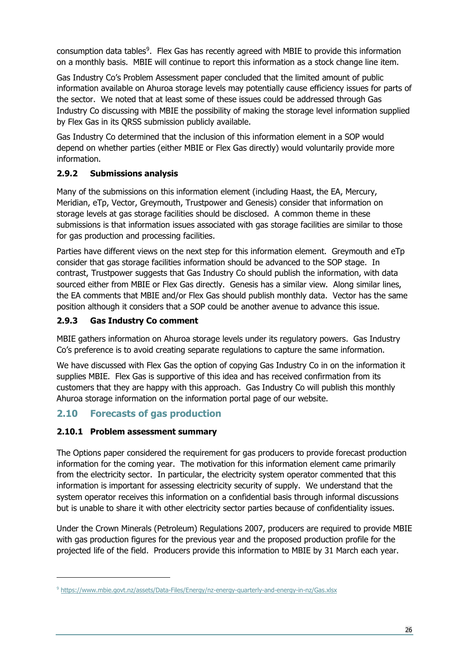consumption data tables[9.](#page-25-4) Flex Gas has recently agreed with MBIE to provide this information on a monthly basis. MBIE will continue to report this information as a stock change line item.

Gas Industry Co's Problem Assessment paper concluded that the limited amount of public information available on Ahuroa storage levels may potentially cause efficiency issues for parts of the sector. We noted that at least some of these issues could be addressed through Gas Industry Co discussing with MBIE the possibility of making the storage level information supplied by Flex Gas in its QRSS submission publicly available.

Gas Industry Co determined that the inclusion of this information element in a SOP would depend on whether parties (either MBIE or Flex Gas directly) would voluntarily provide more information.

# <span id="page-25-0"></span>**2.9.2 Submissions analysis**

Many of the submissions on this information element (including Haast, the EA, Mercury, Meridian, eTp, Vector, Greymouth, Trustpower and Genesis) consider that information on storage levels at gas storage facilities should be disclosed. A common theme in these submissions is that information issues associated with gas storage facilities are similar to those for gas production and processing facilities.

Parties have different views on the next step for this information element. Greymouth and eTp consider that gas storage facilities information should be advanced to the SOP stage. In contrast, Trustpower suggests that Gas Industry Co should publish the information, with data sourced either from MBIE or Flex Gas directly. Genesis has a similar view. Along similar lines, the EA comments that MBIE and/or Flex Gas should publish monthly data. Vector has the same position although it considers that a SOP could be another avenue to advance this issue.

# <span id="page-25-1"></span>**2.9.3 Gas Industry Co comment**

MBIE gathers information on Ahuroa storage levels under its regulatory powers. Gas Industry Co's preference is to avoid creating separate regulations to capture the same information.

We have discussed with Flex Gas the option of copying Gas Industry Co in on the information it supplies MBIE. Flex Gas is supportive of this idea and has received confirmation from its customers that they are happy with this approach. Gas Industry Co will publish this monthly Ahuroa storage information on the information portal page of our website.

# <span id="page-25-2"></span>**2.10 Forecasts of gas production**

# <span id="page-25-3"></span>**2.10.1 Problem assessment summary**

The Options paper considered the requirement for gas producers to provide forecast production information for the coming year. The motivation for this information element came primarily from the electricity sector. In particular, the electricity system operator commented that this information is important for assessing electricity security of supply. We understand that the system operator receives this information on a confidential basis through informal discussions but is unable to share it with other electricity sector parties because of confidentiality issues.

Under the Crown Minerals (Petroleum) Regulations 2007, producers are required to provide MBIE with gas production figures for the previous year and the proposed production profile for the projected life of the field. Producers provide this information to MBIE by 31 March each year.

<span id="page-25-4"></span><sup>9</sup> <https://www.mbie.govt.nz/assets/Data-Files/Energy/nz-energy-quarterly-and-energy-in-nz/Gas.xlsx>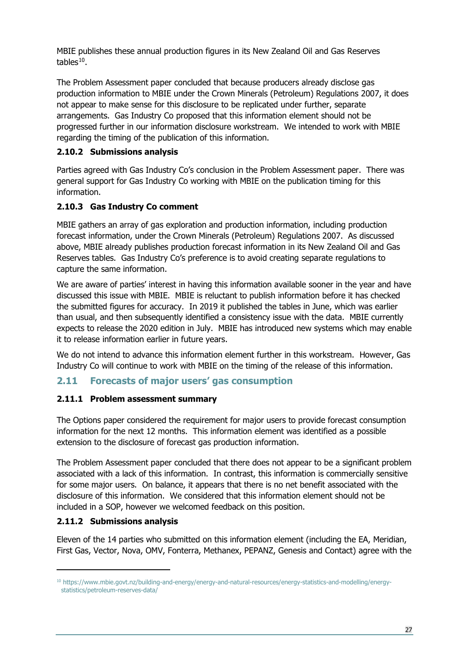MBIE publishes these annual production figures in its New Zealand Oil and Gas Reserves tables $10$ .

The Problem Assessment paper concluded that because producers already disclose gas production information to MBIE under the Crown Minerals (Petroleum) Regulations 2007, it does not appear to make sense for this disclosure to be replicated under further, separate arrangements. Gas Industry Co proposed that this information element should not be progressed further in our information disclosure workstream. We intended to work with MBIE regarding the timing of the publication of this information.

# <span id="page-26-0"></span>**2.10.2 Submissions analysis**

Parties agreed with Gas Industry Co's conclusion in the Problem Assessment paper. There was general support for Gas Industry Co working with MBIE on the publication timing for this information.

# <span id="page-26-1"></span>**2.10.3 Gas Industry Co comment**

MBIE gathers an array of gas exploration and production information, including production forecast information, under the Crown Minerals (Petroleum) Regulations 2007. As discussed above, MBIE already publishes production forecast information in its New Zealand Oil and Gas Reserves tables. Gas Industry Co's preference is to avoid creating separate regulations to capture the same information.

We are aware of parties' interest in having this information available sooner in the year and have discussed this issue with MBIE. MBIE is reluctant to publish information before it has checked the submitted figures for accuracy. In 2019 it published the tables in June, which was earlier than usual, and then subsequently identified a consistency issue with the data. MBIE currently expects to release the 2020 edition in July. MBIE has introduced new systems which may enable it to release information earlier in future years.

We do not intend to advance this information element further in this workstream. However, Gas Industry Co will continue to work with MBIE on the timing of the release of this information.

# <span id="page-26-2"></span>**2.11 Forecasts of major users' gas consumption**

# <span id="page-26-3"></span>**2.11.1 Problem assessment summary**

The Options paper considered the requirement for major users to provide forecast consumption information for the next 12 months. This information element was identified as a possible extension to the disclosure of forecast gas production information.

The Problem Assessment paper concluded that there does not appear to be a significant problem associated with a lack of this information. In contrast, this information is commercially sensitive for some major users. On balance, it appears that there is no net benefit associated with the disclosure of this information. We considered that this information element should not be included in a SOP, however we welcomed feedback on this position.

#### <span id="page-26-4"></span>**2.11.2 Submissions analysis**

Eleven of the 14 parties who submitted on this information element (including the EA, Meridian, First Gas, Vector, Nova, OMV, Fonterra, Methanex, PEPANZ, Genesis and Contact) agree with the

<span id="page-26-5"></span><sup>10</sup> https://www.mbie.govt.nz/building-and-energy/energy-and-natural-resources/energy-statistics-and-modelling/energystatistics/petroleum-reserves-data/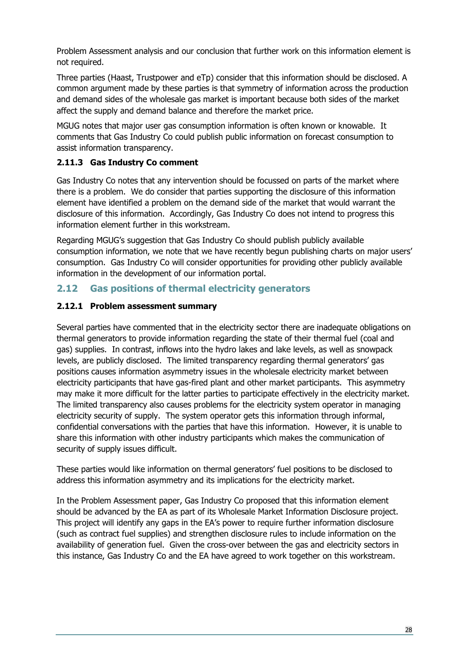Problem Assessment analysis and our conclusion that further work on this information element is not required.

Three parties (Haast, Trustpower and eTp) consider that this information should be disclosed. A common argument made by these parties is that symmetry of information across the production and demand sides of the wholesale gas market is important because both sides of the market affect the supply and demand balance and therefore the market price.

MGUG notes that major user gas consumption information is often known or knowable. It comments that Gas Industry Co could publish public information on forecast consumption to assist information transparency.

## <span id="page-27-0"></span>**2.11.3 Gas Industry Co comment**

Gas Industry Co notes that any intervention should be focussed on parts of the market where there is a problem. We do consider that parties supporting the disclosure of this information element have identified a problem on the demand side of the market that would warrant the disclosure of this information. Accordingly, Gas Industry Co does not intend to progress this information element further in this workstream.

Regarding MGUG's suggestion that Gas Industry Co should publish publicly available consumption information, we note that we have recently begun publishing charts on major users' consumption. Gas Industry Co will consider opportunities for providing other publicly available information in the development of our information portal.

# <span id="page-27-1"></span>**2.12 Gas positions of thermal electricity generators**

## <span id="page-27-2"></span>**2.12.1 Problem assessment summary**

Several parties have commented that in the electricity sector there are inadequate obligations on thermal generators to provide information regarding the state of their thermal fuel (coal and gas) supplies. In contrast, inflows into the hydro lakes and lake levels, as well as snowpack levels, are publicly disclosed. The limited transparency regarding thermal generators' gas positions causes information asymmetry issues in the wholesale electricity market between electricity participants that have gas-fired plant and other market participants. This asymmetry may make it more difficult for the latter parties to participate effectively in the electricity market. The limited transparency also causes problems for the electricity system operator in managing electricity security of supply. The system operator gets this information through informal, confidential conversations with the parties that have this information. However, it is unable to share this information with other industry participants which makes the communication of security of supply issues difficult.

These parties would like information on thermal generators' fuel positions to be disclosed to address this information asymmetry and its implications for the electricity market.

In the Problem Assessment paper, Gas Industry Co proposed that this information element should be advanced by the EA as part of its Wholesale Market Information Disclosure project. This project will identify any gaps in the EA's power to require further information disclosure (such as contract fuel supplies) and strengthen disclosure rules to include information on the availability of generation fuel. Given the cross-over between the gas and electricity sectors in this instance, Gas Industry Co and the EA have agreed to work together on this workstream.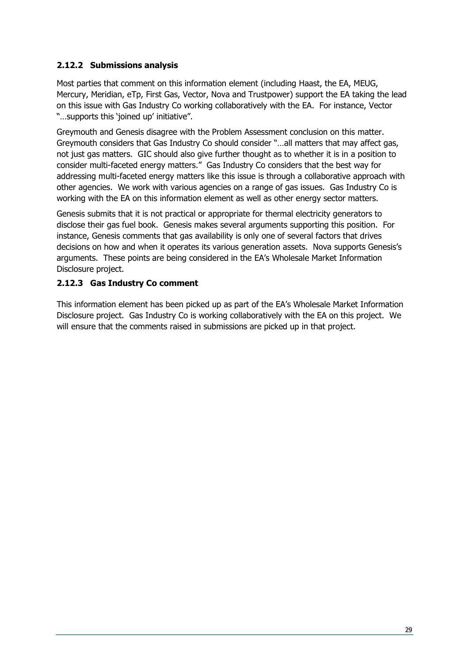#### <span id="page-28-0"></span>**2.12.2 Submissions analysis**

Most parties that comment on this information element (including Haast, the EA, MEUG, Mercury, Meridian, eTp, First Gas, Vector, Nova and Trustpower) support the EA taking the lead on this issue with Gas Industry Co working collaboratively with the EA. For instance, Vector "…supports this 'joined up' initiative".

Greymouth and Genesis disagree with the Problem Assessment conclusion on this matter. Greymouth considers that Gas Industry Co should consider "…all matters that may affect gas, not just gas matters. GIC should also give further thought as to whether it is in a position to consider multi-faceted energy matters." Gas Industry Co considers that the best way for addressing multi-faceted energy matters like this issue is through a collaborative approach with other agencies. We work with various agencies on a range of gas issues. Gas Industry Co is working with the EA on this information element as well as other energy sector matters.

Genesis submits that it is not practical or appropriate for thermal electricity generators to disclose their gas fuel book. Genesis makes several arguments supporting this position. For instance, Genesis comments that gas availability is only one of several factors that drives decisions on how and when it operates its various generation assets. Nova supports Genesis's arguments. These points are being considered in the EA's Wholesale Market Information Disclosure project.

## <span id="page-28-1"></span>**2.12.3 Gas Industry Co comment**

This information element has been picked up as part of the EA's Wholesale Market Information Disclosure project. Gas Industry Co is working collaboratively with the EA on this project. We will ensure that the comments raised in submissions are picked up in that project.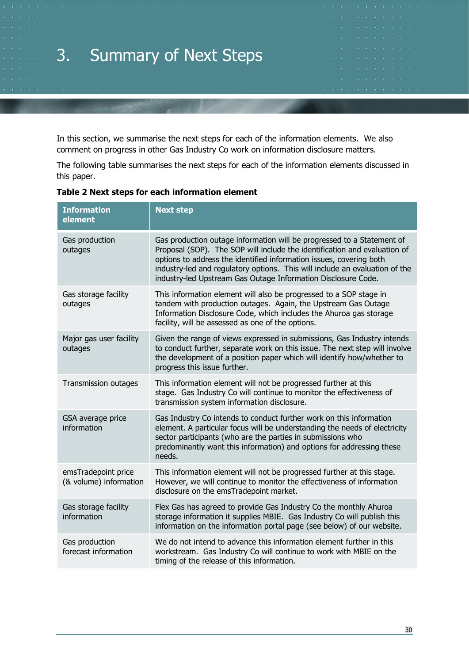# <span id="page-29-0"></span>3. Summary of Next Steps

In this section, we summarise the next steps for each of the information elements. We also comment on progress in other Gas Industry Co work on information disclosure matters.

The following table summarises the next steps for each of the information elements discussed in this paper.

| <b>Information</b><br>element                 | <b>Next step</b>                                                                                                                                                                                                                                                                                                                                                           |
|-----------------------------------------------|----------------------------------------------------------------------------------------------------------------------------------------------------------------------------------------------------------------------------------------------------------------------------------------------------------------------------------------------------------------------------|
| Gas production<br>outages                     | Gas production outage information will be progressed to a Statement of<br>Proposal (SOP). The SOP will include the identification and evaluation of<br>options to address the identified information issues, covering both<br>industry-led and regulatory options. This will include an evaluation of the<br>industry-led Upstream Gas Outage Information Disclosure Code. |
| Gas storage facility<br>outages               | This information element will also be progressed to a SOP stage in<br>tandem with production outages. Again, the Upstream Gas Outage<br>Information Disclosure Code, which includes the Ahuroa gas storage<br>facility, will be assessed as one of the options.                                                                                                            |
| Major gas user facility<br>outages            | Given the range of views expressed in submissions, Gas Industry intends<br>to conduct further, separate work on this issue. The next step will involve<br>the development of a position paper which will identify how/whether to<br>progress this issue further.                                                                                                           |
| Transmission outages                          | This information element will not be progressed further at this<br>stage. Gas Industry Co will continue to monitor the effectiveness of<br>transmission system information disclosure.                                                                                                                                                                                     |
| GSA average price<br>information              | Gas Industry Co intends to conduct further work on this information<br>element. A particular focus will be understanding the needs of electricity<br>sector participants (who are the parties in submissions who<br>predominantly want this information) and options for addressing these<br>needs.                                                                        |
| emsTradepoint price<br>(& volume) information | This information element will not be progressed further at this stage.<br>However, we will continue to monitor the effectiveness of information<br>disclosure on the emsTradepoint market.                                                                                                                                                                                 |
| Gas storage facility<br>information           | Flex Gas has agreed to provide Gas Industry Co the monthly Ahuroa<br>storage information it supplies MBIE. Gas Industry Co will publish this<br>information on the information portal page (see below) of our website.                                                                                                                                                     |
| Gas production<br>forecast information        | We do not intend to advance this information element further in this<br>workstream. Gas Industry Co will continue to work with MBIE on the<br>timing of the release of this information.                                                                                                                                                                                   |

#### **Table 2 Next steps for each information element**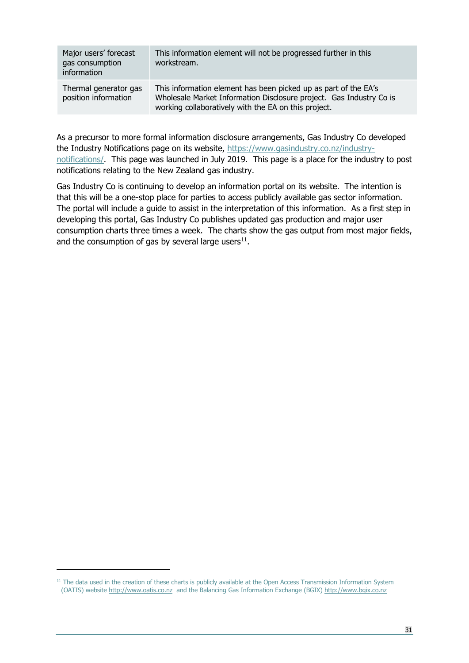| Major users' forecast<br>gas consumption<br>information | This information element will not be progressed further in this<br>workstream.                                                                                                                 |
|---------------------------------------------------------|------------------------------------------------------------------------------------------------------------------------------------------------------------------------------------------------|
| Thermal generator gas<br>position information           | This information element has been picked up as part of the EA's<br>Wholesale Market Information Disclosure project. Gas Industry Co is<br>working collaboratively with the EA on this project. |

As a precursor to more formal information disclosure arrangements, Gas Industry Co developed the Industry Notifications page on its website, [https://www.gasindustry.co.nz/industry](https://www.gasindustry.co.nz/industry-notifications/)[notifications/.](https://www.gasindustry.co.nz/industry-notifications/) This page was launched in July 2019. This page is a place for the industry to post notifications relating to the New Zealand gas industry.

Gas Industry Co is continuing to develop an information portal on its website. The intention is that this will be a one-stop place for parties to access publicly available gas sector information. The portal will include a guide to assist in the interpretation of this information. As a first step in developing this portal, Gas Industry Co publishes updated gas production and major user consumption charts three times a week. The charts show the gas output from most major fields, and the consumption of gas by several large users $11$ .

<span id="page-30-0"></span><sup>&</sup>lt;sup>11</sup> The data used in the creation of these charts is publicly available at the Open Access Transmission Information System (OATIS) website [http://www.oatis.co.nz](http://www.oatis.co.nz/) and the Balancing Gas Information Exchange (BGIX) [http://www.bgix.co.nz](http://www.bgix.co.nz/)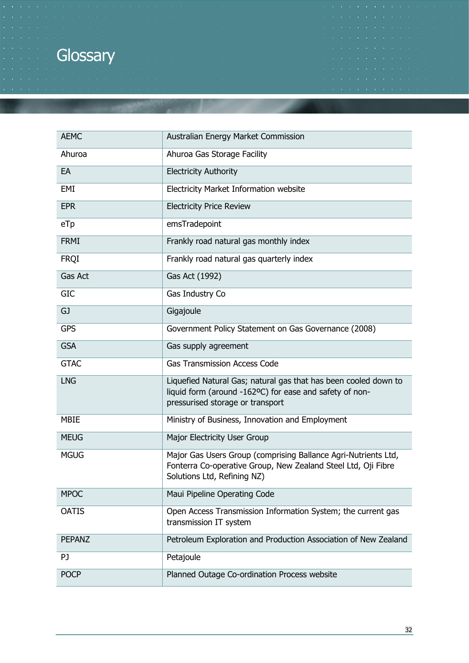# **Glossary**

| <b>AEMC</b>   | Australian Energy Market Commission                                                                                                                            |
|---------------|----------------------------------------------------------------------------------------------------------------------------------------------------------------|
| Ahuroa        | Ahuroa Gas Storage Facility                                                                                                                                    |
| EA            | <b>Electricity Authority</b>                                                                                                                                   |
| EMI           | Electricity Market Information website                                                                                                                         |
| <b>EPR</b>    | <b>Electricity Price Review</b>                                                                                                                                |
| eTp           | emsTradepoint                                                                                                                                                  |
| <b>FRMI</b>   | Frankly road natural gas monthly index                                                                                                                         |
| <b>FRQI</b>   | Frankly road natural gas quarterly index                                                                                                                       |
| Gas Act       | Gas Act (1992)                                                                                                                                                 |
| <b>GIC</b>    | Gas Industry Co                                                                                                                                                |
| GJ            | Gigajoule                                                                                                                                                      |
| <b>GPS</b>    | Government Policy Statement on Gas Governance (2008)                                                                                                           |
| <b>GSA</b>    | Gas supply agreement                                                                                                                                           |
| <b>GTAC</b>   | <b>Gas Transmission Access Code</b>                                                                                                                            |
| <b>LNG</b>    | Liquefied Natural Gas; natural gas that has been cooled down to<br>liquid form (around -162ºC) for ease and safety of non-<br>pressurised storage or transport |
| <b>MBIE</b>   | Ministry of Business, Innovation and Employment                                                                                                                |
| <b>MEUG</b>   | Major Electricity User Group                                                                                                                                   |
| <b>MGUG</b>   | Major Gas Users Group (comprising Ballance Agri-Nutrients Ltd,<br>Fonterra Co-operative Group, New Zealand Steel Ltd, Oji Fibre<br>Solutions Ltd, Refining NZ) |
| <b>MPOC</b>   | Maui Pipeline Operating Code                                                                                                                                   |
| <b>OATIS</b>  | Open Access Transmission Information System; the current gas<br>transmission IT system                                                                         |
| <b>PEPANZ</b> | Petroleum Exploration and Production Association of New Zealand                                                                                                |
| PJ            | Petajoule                                                                                                                                                      |
| <b>POCP</b>   | Planned Outage Co-ordination Process website                                                                                                                   |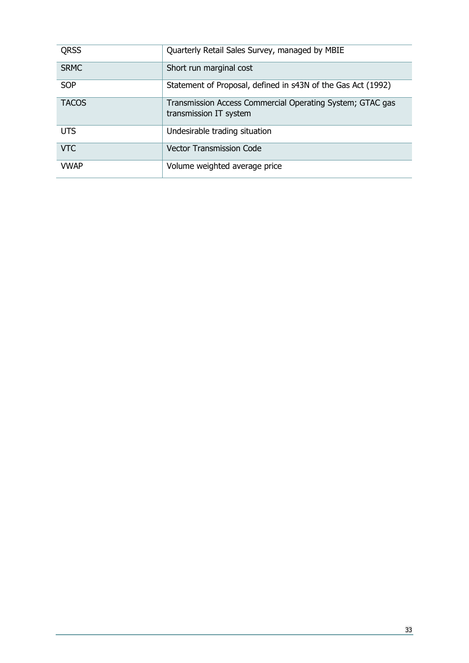| <b>QRSS</b>  | Quarterly Retail Sales Survey, managed by MBIE                                      |
|--------------|-------------------------------------------------------------------------------------|
| <b>SRMC</b>  | Short run marginal cost                                                             |
| <b>SOP</b>   | Statement of Proposal, defined in s43N of the Gas Act (1992)                        |
| <b>TACOS</b> | Transmission Access Commercial Operating System; GTAC gas<br>transmission IT system |
| <b>UTS</b>   | Undesirable trading situation                                                       |
| <b>VTC</b>   | <b>Vector Transmission Code</b>                                                     |
| <b>VWAP</b>  | Volume weighted average price                                                       |